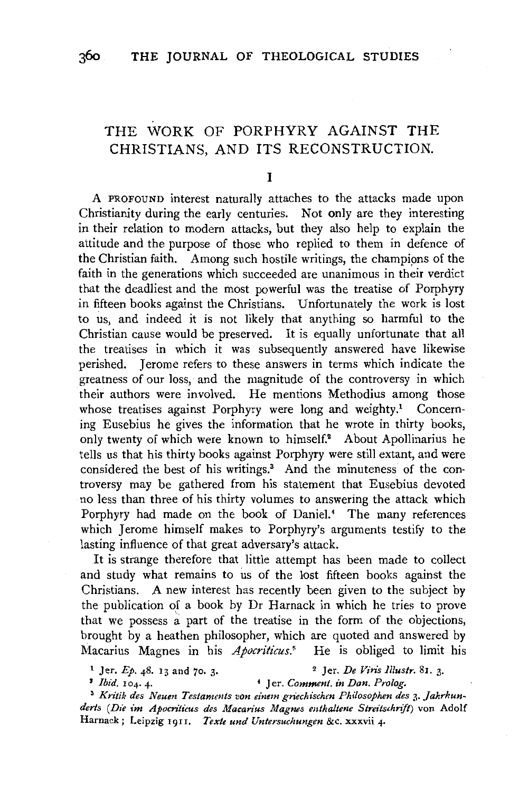# THE WORK OF PORPHYRY AGAINST THE CHRISTIANS, AND ITS RECONSTRUCTION.

### I

A PROFOUND interest naturally attaches to the attacks made upon Christianity during the early centuries. Not only are they interesting in their relation to modern attacks, but they also help to explain the attitude and the purpose of those who replied to them in defence of the Christian faith. Among such hostile writings, the champions of the faith in the generations which succeeded are unanimous in their verdict that the deadliest and the most powerful was the treatise of Porphyry in fifteen books against the Christians. Unfortunately the work is lost to us, and indeed it is not likely that anything so harmful to the Christian cause would be preserved. It is equally unfortunate that all the treatises in which it was subsequently answered have likewise perished. Jerome refers to these answers in terms which indicate the greatness of our loss, and the magnitude of the controversy in which their authors were involved. He mentions Methodius among those whose treatises against Porphyry were long and weighty.<sup>1</sup> Concerning Eusebius he gives the information that he wrote in thirty books, only twenty of which were known to himself.2 About Apollinarius he tells us that his thirty books against Porphyry were still extant, and were considered the best of his writings.<sup>3</sup> And the minuteness of the controversy may be gathered from his statement that Eusebius devoted no less than three of his thirty volumes to answering the attack which Porphyry had made on the book of Daniel.<sup>4</sup> The many references which Jerome himself makes to Porphyry's arguments testify to the lasting influence of that great adversary's attack.

It is strange therefore that little attempt has been made to collect and study what remains to us of the lost fifteen books against the Christians. A new interest has recently been given to the subject by the publication of a book by Dr Harnack in which he tries to prove that we possess  $a$  part of the treatise in the form of the objections, brought by a heathen philosopher, which are quoted and answered by Macarius Magnes in his *Apocriticus*.<sup>5</sup> He is obliged to limit his

1 Jer. *Ep.* 48. 13 and 70. 3· 2 Jer. *De Viris lllustr.* Sr. 3· 3 *Ibid.* 104. 4- • Jer. *Comment. in Dan. Prolog.* 

<sup>5</sup>*Kritik des Neum Testammts von einem griechischen Philosophen des* 3· *Jahrhunderts (Die im Apocriticus des Macarius Magnes enthaltene Streitschnjt)* von Adolf Harnack; Leipzig 1911. *Texte und Untersuchungen &c.* xxxvii 4.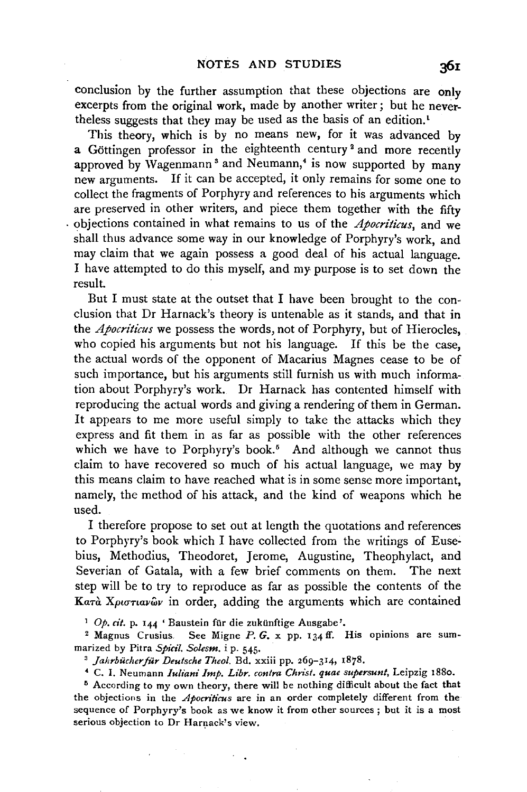conclusion by the further assumption that these objections are only excerpts from the original work, made by another writer; but he nevertheless suggests that they may be used as the basis of an edition.<sup>1</sup>

This theory, which is by no means new, for it was advanced by a Göttingen professor in the eighteenth century<sup>2</sup> and more recently approved by Wagenmann<sup>3</sup> and Neumann,<sup>4</sup> is now supported by many new arguments. If it can be accepted, it only remains for some one to collect the fragments of Porphyry and references to his arguments which are preserved in other writers, and piece them together with the fifty . objections contained in what remains to us of the *Apocritlcus,* and we shall thus advance some way in our knowledge of Porphyry's work, and may claim that we again possess a good deal of his actual language. I have attempted to do this myself, and my purpose is to set down the result.

But I must state at the outset that I have been brought to the conclusion that Dr Harnack's theory is untenable as it stands, and that in the *Apocriticus* we possess the words, not of Porphyry, but of Hierocles, who copied his arguments but not his language. If this be the case, the actual words of the opponent of Macarius Magnes cease to be of such importance, but his arguments still furnish us with much information about Porphyry's work. Dr Harnack has contented himself with reproducing the actual words and giving a rendering of them in German. It appears to me more useful simply to take the attacks which they express and fit them in as far as possible with the other references which we have to Porphyry's book.<sup>5</sup> And although we cannot thus claim to have recovered so much of his actual language, we may by this means claim to have reached what is in some sense more important, namely, the method of his attack, and the kind of weapons which he used.

I therefore propose to set out at length the quotations and references to Porphyry's book which I have collected from the writings of Eusebius, Methodius, Theodoret, Jerome, Augustine, Theophylact, and Severian of Gatala, with a few brief comments on them. The next step will be to try to reproduce as far as possible the contents of the Kaτα *Xριστιαν*ων in order, adding the arguments which are contained

<sup>1</sup> Op. *cit.* p. 144 ' Baustein für die zukünftige Ausgabe'.<br><sup>2</sup> Magnus Crusius. See Migne P. G. x pp. 134 ff. His opinions are summarized by Pitra *Spicil. Solesm.* i p. 545.<br><sup>3</sup> *Jahrbücher für Deutsche Theol.* Bd. xxiii pp. 269-314, 1878.<br><sup>4</sup> C. I. Neumann *Iuliani Imp. Libr. contra Christ. quae supersunt*, Leipzig 1880.

 $\sim$   $\sim$ 

<sup>5</sup> According to my own theory, there will be nothing difficult about the fact that the objections in the *Apocriticus* are in an order completely different from the sequence of Porphyry's book as we know it from other sources ; but it is a most serious objection to Dr Harnack's view.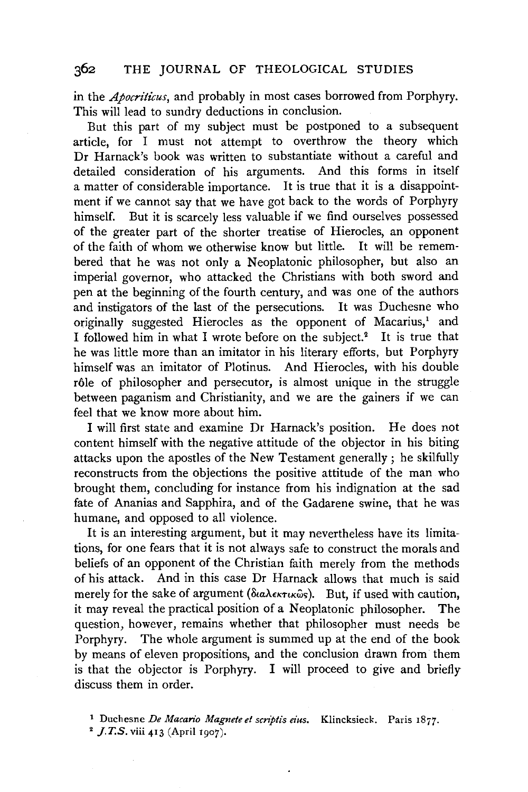in the *Apocriticus,* and probably in most cases borrowed from Porphyry. This will lead to sundry deductions in conclusion.

But this part of my subject must be postponed to a subsequent article, for I must not attempt to overthrow the theory which Dr Harnack's book was written to substantiate without a careful and detailed consideration of his arguments. And this forms in itself a matter of considerable importance. It is true that it is a disappointment if we cannot say that we have got back to the words of Porphyry himself. But it is scarcely less valuable if we find ourselves possessed of the greater part of the shorter treatise of Hierocles, an opponent of the faith of whom we otherwise know but little. It will be remembered that he was not only a Neoplatonic philosopher, but also an imperial governor, who attacked the Christians with both sword and pen at the beginning of the fourth century, and was one of the authors and instigators of the last of the persecutions. It was Duchesne who originally suggested Hierocles as the opponent of Macarius,<sup>1</sup> and I followed him in what I wrote before on the subject.<sup>2</sup> It is true that he was little more than an imitator in his literary efforts, but Porphyry himself was an imitator of Plotinus. And Hierocles, with his double rôle of philosopher and persecutor, is almost unique in the struggle between paganism and Christianity, and we are the gainers if we can feel that we know more about him.

I will first state and examine Dr Harnack's position. He does not content himself with the negative attitude of the objector in his biting attacks upon the apostles of the New Testament generally; he skilfully reconstructs from the objections the positive attitude of the man who brought them, concluding for instance from his indignation at the sad fate of Ananias and Sapphira, and of the Gadarene swine, that he was humane, and opposed to all violence.

It is an interesting argument, but it may nevertheless have its limitations, for one fears that it is not always safe to construct the morals and beliefs of an opponent of the Christian faith merely from the methods of his attack. And in this case Dr Harnack allows that much is said merely for the sake of argument ( $\delta \omega \lambda \epsilon \kappa \tau \kappa \hat{\omega}$ s). But, if used with caution, it may reveal the practical position of a Neoplatonic philosopher. The question, however, remains whether that philosopher must needs be Porphyry. The whole argument is summed up at the end of the book by means of eleven propositions, and the conclusion drawn from them is that the objector is Porphyry. I will proceed to give and briefly discuss them in order.

1 Duchesne *De Macario Magnete et scn'ptis eius.* Klincksieck. Paris 1877.

2 *J.T.S.* viii 413 (April 1907).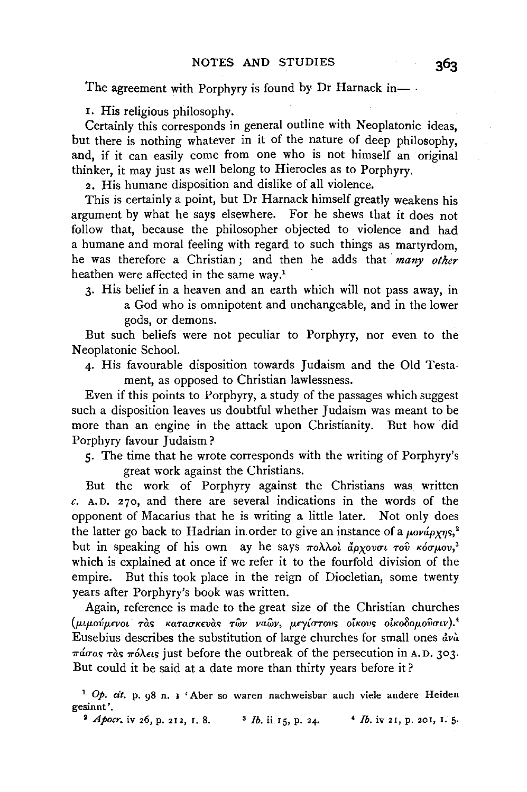The agreement with Porphyry is found by Dr Harnack in-

1. His religious philosophy.

Certainly this corresponds in general outline with Neoplatonic ideas, but there is nothing whatever in it of the nature of deep philosophy, and, if it can easily come from one who is not himself an original thinker, it may just as well belong to Hierocles as to Porphyry.

2. His humane disposition and dislike of all violence.

This is certainly a point, but Dr Harnack himself greatly weakens his argument by what he says elsewhere. For he shews that it does not follow that, because the philosopher objected to violence and had a humane and moral feeling with regard to such things as martyrdom, he was therefore a Christian ; and then he adds that *many other*  heathen were affected in the same way.<sup>1</sup>

3· His belief in a heaven and an earth which will not pass away, in a God who is omnipotent and unchangeable, and in the lower gods, or demons.

But such beliefs were not peculiar to Porphyry, nor even to the Neoplatonic School.

4· His favourable disposition towards Judaism and the Old Testament, as opposed to Christian lawlessness.

Even if this points to Porphyry, a study of the passages which suggest such a disposition leaves us doubtful whether Judaism was meant to be more than an engine in the attack upon Christianity. But how did Porphyry favour Judaism?

5· The time that he wrote corresponds with the writing of Porphyry's great work against the Christians.

But the work of Porphyry against the Christians was written *c.* A.D. 270, and there are several indications in the words of the opponent of Macarius that he is writing a little later. Not only does the latter go back to Hadrian in order to give an instance of a  $\mu \omega \omega \hat{\mu} \gamma \gamma s$ ,<sup>2</sup> but in speaking of his own ay he says  $\pi$ o. $\lambda \lambda$ ol  $\tilde{d}\rho$ *xovou*  $\tau$ ov  $\kappa$ όσμον,<sup>3</sup> which is explained at once if we refer it to the fourfold division of the empire. But this took place in the reign of Diocletian, some twenty years after Porphyry's book was written.

Again, reference is made to the great size of the Christian churches *(p.tpm5p.£YOL TOS KaTatTKWOS TWV vawv, p.€y{urovs OtKOV<; oiKo8op.ovutv)!*  Eusebius describes the substitution of large churches for small ones  $\frac{dv\lambda}{dt}$  $\pi \omega \sigma \omega s$   $\tau \omega s$   $\pi \omega \omega s$  just before the outbreak of the persecution in A.D. 303. But could it be said at a date more than thirty years before it ?

<sup>1</sup>Op. *cit.* p. 98 n. I 'Aber so waren nachweisbar auch viele andere Heiden gesinnt'.

<sup>2</sup> *Apocr.* iv 26, p. 212, 1. 8. <sup>3</sup> *lb.* ii 15, p. 24. <sup>4</sup> *lb.* iv 21, p. 201, 1. 5.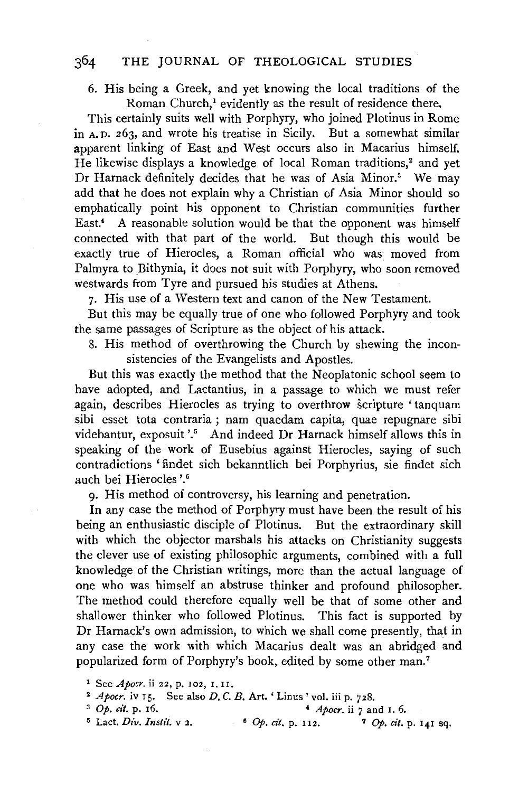#### 364 THE JOURNAL OF THEOLOGICAL STUDIES

6. His being a Greek, and yet knowing the local traditions of the Roman Church,! evidently as the result of residence there.

This certainly suits well with Porphyry, who joined Plotinus in Rome in A. D. 263, and wrote his treatise in Sicily. But a somewhat similar apparent linking of East and West occurs also in Macarius himself. He likewise displays a knowledge of local Roman traditions,<sup>2</sup> and yet Dr Harnack definitely decides that he was of Asia Minor.<sup>3</sup> We may add that he does not explain why a Christian of Asia Minor should so emphatically point his opponent to Christian communities further East.<sup>4</sup> A reasonable solution would be that the opponent was himself connected with that part of the world. But though this would be exactly true of Hierocles, a Roman official who was moved from Palmyra to Bithynia, it does not suit with Porphyry, who soon removed westwards from Tyre and pursued his studies at Athens.

7· His use of a Western text and canon of the New Testament.

But this may be equally true of one who followed Porphyry and took the same passages of Scripture as the object of his attack.

8. His method of overthrowing the Church by shewing the inconsistencies of the Evangelists and Apostles.

But this was exactly the method that the Neoplatonic school seem to have adopted, and Lactantius, in a passage to which we must refer again, describes Hierocles as trying to overthrow scripture 'tanquam sibi esset tota contraria ; nam quaedam capita, quae repugnare sibi videbantur, exposuit '.<sup>5</sup> And indeed Dr Harnack himself allows this in speaking of the work of Eusebius against Hierocles, saying of such contradictions 'findet sich bekanntlich bei Porphyrius, sie findet sich auch bei Hierocles '.6

9· His method of controversy, his learning and penetration.

In any case the method of Porphyry must have been the result of his being an enthusiastic disciple of Plotinus. But the extraordinary skill with which the objector marshals his attacks on Christianity suggests the clever use of existing philosophic arguments, combined with a full knowledge of the Christian writings, more than the actual language of one who was himself an abstruse thinker and profound philosopher. The method could therefore equally well be that of some other and shallower thinker who followed Plotinus. This fact is supported by Dr Harnack's own admission, to which we shall come presently, that in any case the work with which Macarius dealt was an abridged and popularized form of Porphyry's book, edited by some other man.7

<sup>1</sup> See *Apocr.* ii 22, p. 102, r. II.

<sup>&</sup>lt;sup>2</sup> *Apocr.* iv 15. See also *D*, *C*. *B*. Art. 'Linus' vol. iii p. 728.<br>
<sup>3</sup> *Op.* cit. p. 16.<br>
<sup>5</sup> Lact. *Div. Instit.* v 2.<br>
<sup>6</sup> *Op. cit.* p. 112.<br>
<sup>7</sup> *Op. cit.* p. 141 sq.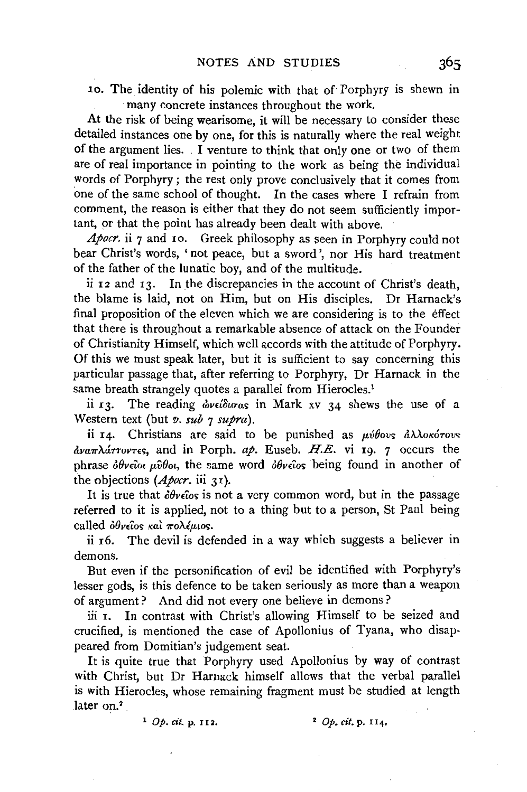10. The identity of his polemic with that of Porphyry is shewn in many concrete instances throughout the work.

At the risk of being wearisome, it will be necessary to consider these detailed instances one by one, for this is naturally where the real weight of the argument lies. . I venture to think that only one or two of them are of real importance in pointing to the work as being the individual words of Porphyry; the rest only prove conclusively that it comes from one of the same school of thought. In the cases where I refrain from comment, the reason is either that they do not seem sufficiently important, or that the point has already been dealt with above.

*Apocr.* ii 7 and 10. Greek philosophy as seen in Porphyry could not bear Christ's words, 'not peace, but a sword', nor His hard treatment of the father of the lunatic boy, and of the multitude.

ii  $I_2$  and  $I_3$ . In the discrepancies in the account of Christ's death, the blame is laid, not on Him, but on His disciples. Dr Harnack's final proposition of the eleven which we are considering is to the effect that there is throughout a remarkable absence of attack on the Founder of Christianity Himself, which well accords with the attitude of Porphyry. Of this we must speak later, but it is sufficient to say concerning this particular passage that, after referring to Porphyry, Dr Harnack in the same breath strangely quotes a parallel from Hierocles.<sup>1</sup>

ii 13. The reading *ώνείδισας* in Mark xv 34 shews the use of a Western text (but *v. sub* 7 *supra).* 

ii 14. Christians are said to be punished as  $\mu\acute{v}\theta\omega\varsigma\ d\lambda\lambda\circ\kappa\acute{o}\tau\omega\varsigma$  $\frac{\partial \nu}{\partial \theta}$   $\frac{\partial \nu}{\partial \theta}$  and in Porph. *ap*. Euseb. *H.E.* vi 19. 7 occurs the phrase  $\delta\theta$ *v* $\epsilon$ *iot*  $\mu\hat{\nu}\theta$ *ot*, the same word  $\delta\theta$ *v* $\epsilon\hat{\iota}$ *os* being found in another of the objections (*Apocr.* iii 31).

It is true that  $\partial \theta$ veios is not a very common word, but in the passage referred to it is applied, not to a thing but to a person, St Paul being called  $\partial \theta$ *v* $\partial \cos \kappa \alpha$   $\partial \theta$ *x* $\partial \delta \mu \partial \sigma$ .

ii r6. The devil is defended in a way which suggests a believer in demons.

But even if the personification of evil be identified with Porphyry's lesser gods, is this defence to be taken seriously as more than a weapon of argument? And did not every one believe in demons ?

iii I. In contrast with Christ's allowing Himself to be seized and crucified, is mentioned the case of Apollonius of Tyana, who disappeared from Domitian's judgement seat.

It is quite true that Porphyry used Apollonius by way of contrast with Christ, but Dr Harnack himself allows that the verbal parallel is with Hierocles, whose remaining fragment must be studied at length later on.<sup>2</sup>

1 Op. *cit.* p. II 2. 2 Op. *cit.* p. II4.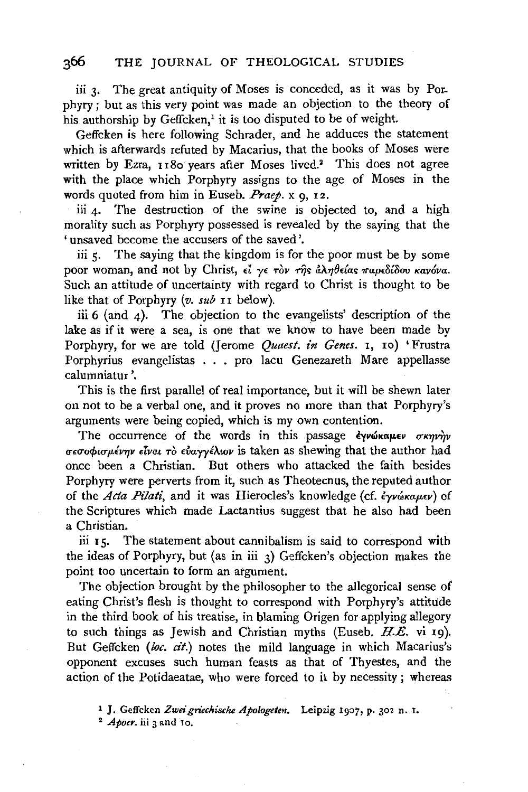### 366 THE JOURNAL OF THEOLOGICAL STUDIES

iii 3. The great antiquity of Moses is conceded, as it was by Porphyry; but as this very point was made an objection to the theory of his authorship by Geffcken,<sup>1</sup> it is too disputed to be of weight.

Geffcken is here following Schrader, and he adduces the statement which is afterwards refuted by Macarius, that the books of Moses were written by Ezra, 1180 years after Moses lived.<sup>2</sup> This does not agree with the place which Porphyry assigns to the age of Moses in the words quoted from him in Euseb. *Praep.* x g, 12.

iii  $4$ . The destruction of the swine is objected to, and a high morality such as Porphyry possessed is revealed by the saying that the 'unsaved become the accusers of the saved'.

iii  $5$ . The saying that the kingdom is for the poor must be by some poor woman, and not by Christ, εί γε τον της άληθείας παρεδίδου κανόνα. Such an attitude of uncertainty with regard to Christ is thought to be like that of Porphyry (v. sub II below).

iii 6 (and 4). The objection to the evangelists' description of the lake as if it were a sea, is one that we know to have been made by Porphyry, for we are told (Jerome *Quaest. in Genes.* 1, 10) 'Frustra Porphyrius evangelistas . . . pro lacu Genezareth Mare appellasse calumniatur '.

This is the first parallel of real importance, but it will be shewn later on not to be a verbal one, and it proves no more than that Porphyry's arguments were being copied, which is my own contention.

The occurrence of the words in this passage  $\epsilon$ γνώκαμεν σκηνήν *σεσοφισμένην είναι τὸ εὐαγγέλιον* is taken as shewing that the author had once been a Christian. But others who attacked the faith besides Porphyry were perverts from it, such as Theotecnus, the reputed author of the *Acta Pilati*, and it was Hierocles's knowledge (cf. έγνώκαμεν) of the Scriptures which made Lactantius suggest that he also had been a Christian.

iii 15. The statement about cannibalism is said to correspond with the ideas of Porphyry, but (as in iii 3) Geffcken's objection makes the point too uncertain to form an argument.

The objection brought by the philosopher to the allegorical sense of eating Christ's flesh is thought to correspond with Porphyry's attitude in the third book of his treatise, in blaming Origen for applying allegory to such things as Jewish and Christian myths (Euseb. *HE.* vi rg). But Geffcken *(loc. cit.)* notes the mild language in which Macarius's opponent excuses such human feasts as that of Thyestes, and the action of the Potidaeatae, who were forced to it by necessity ; whereas

<sup>1</sup> J. Geffcken *Zweigriechische Apologelen.* Leipzig 1907, p. 302 n. r. 2 *Apocr.* iii 3 and Io.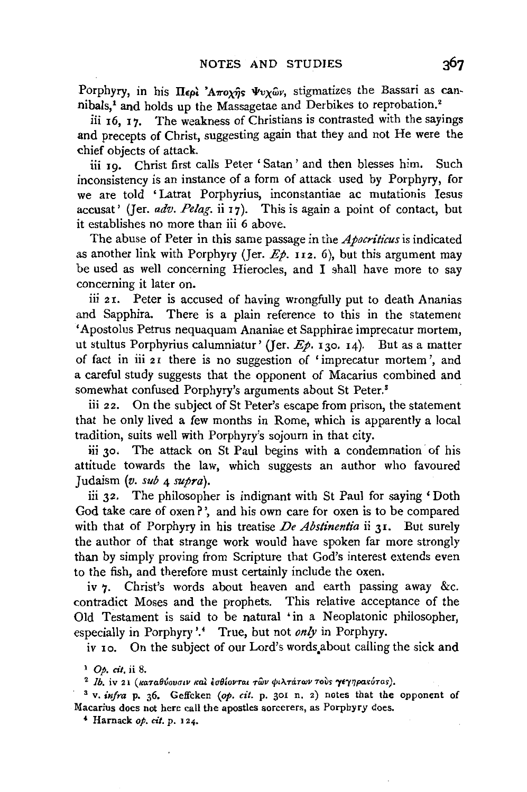Porphyry, in his *II<sub>Epl</sub>* 'A $\pi$ oxis  $\Psi$ vxωv, stigmatizes the Bassari as cannibals/ and holds up the Massagetae and Derbikes to reprobation.'

iii 16, 17. The weakness of Christians is contrasted with the sayings and precepts of Christ, suggesting again that they and not He were the chief objects of attack.

iii 19. Christ first calls Peter 'Satan' and then blesses him. Such inconsistency is an instance of a form of attack used by Porphyry, for we are told 'Latrat Porphyrius, inconstantiae ac mutationis Iesus accusat' (Jer. *adv. Pelag.* ii 17). This is again a point of contact, but it establishes no more than iii 6 above.

The abuse of Peter in this same passage in the *Apocriticus* is indicated as another link with Porphyry (Jer.  $E_p$ . 112. 6), but this argument may be used as well concerning Hierocles, and I shall have more to say concerning it later on.

iii 21. Peter is accused of having wrongfully put to death Ananias and Sapphira. There is a plain reference to this in the statement 'Apostol us Petrus nequaquam Ananiae et Sapphirae imprecatur mortem, ut stultus Porphyrius calumniatur' (Jer.  $E_p$ , 130. 14). But as a matter of fact in iii 2 r there is no suggestion of ' imprecatur mortem ', and a careful study suggests that the opponent of Macarius combined and somewhat confused Porphyry's arguments about St Peter.<sup>8</sup>

iii 22. On the subject of St Peter's escape from prison, the statement that he only lived a few months in Rome, which is apparently a local tradition, suits well with Porphyry's sojourn in that city.

iii 30. The attack on St Paul begins with a condemnation of his attitude towards the law, which suggests an author who favoured Judaism (v. *sub* 4 *supra).* 

iii 32. The philosopher is indignant with St Paul for saying 'Doth God take care of oxen?', and his own care for oxen is to be compared with that of Porphyry in his treatise *De Abstinentia* ii 31. But surely the author of that strange work would have spoken far more strongly than by simply proving from Scripture that God's interest extends even to the fish, and therefore must certainly include the oxen.

iv 7. Christ's words about heaven and earth passing away &c. contradict Moses and the prophets. This relative acceptance of the Old Testament is said to be natural 'in a Neoplatonic philosopher, especially in Porphyry'.' True, but not *only* in Porphyry.

iv 10. On the subject of our Lord's words.about calling the sick and

<sup>1</sup> Op. cit. ii 8.<br><sup>2</sup> Ib. iv 21 (καταθύουσιν καὶ ἐσθίονται τῶν φιλτάτων τοὺs **γε**γηρακύταs).

3 v. *infra* p. 36. Geffcken *(op. cit.* p. 301 n. 2) notes that the opponent of Macarius does not here call the apostles sorcerers, as Porphyry does.

• Harnack *op. cit.* p. 124.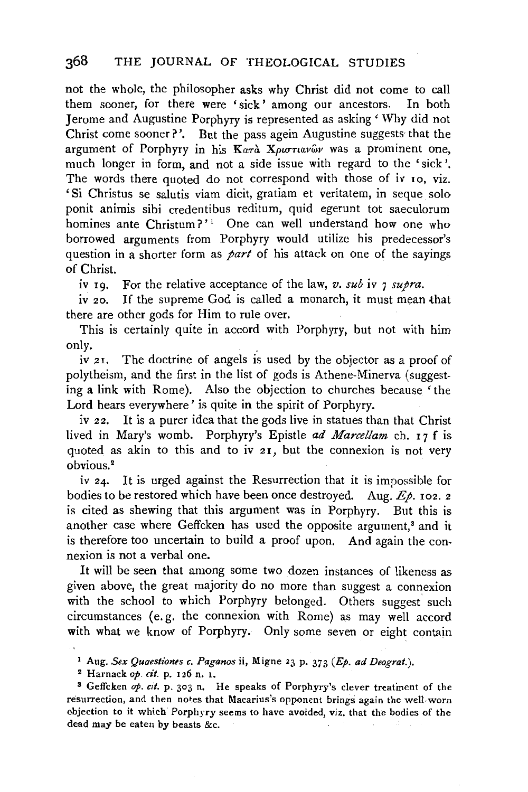not the whole, the philosopher asks why Christ did not come to call them sooner, for there were 'sick' among our ancestors. In both Jerome and Augustine Porphyry is represented as asking' Why did not Christ come sooner?'. But the pass agein Augustine suggests· that the argument of Porphyry in his Karà XpurTuavwar was a prominent one, much longer in form, and not a side issue with regard to the 'sick'. The words there quoted do not correspond with those of iv 10, viz. 'Si Christus se salutis viam dicit, gratiam et veritatem, in seque solo ponit animis sibi credentibus reditum, quid egerunt tot saeculorum homines ante Christum?'<sup>1</sup> One can well understand how one who borrowed arguments from Porphyry would utilize his predecessor's question in a shorter form as *part* of his attack on one of the sayings of Christ.

iv 19. For the relative acceptance of the law, *v. sub* iv 7 *supra.* 

iv 20. If the supreme God is called a monarch, it must mean that there are other gods for Him to rule over.

This is certainly quite in accord with Porphyry, but not with him only.

iv 21. The doctrine of angels is used by the objector as a proof of polytheism, and the first in the list of gods is Athene-Minerva (suggesting a link with Rome). Also the objection to churches because 'the Lord hears everywhere' is quite in the spirit of Porphyry.

iv 22. It is a purer idea that the gods live in statues than that Christ lived in Mary's womb. Porphyry's Epistle *ad Marcel/am* ch. r 7 f is quoted as akin to this and to iv 21, but the connexion is not very obvious.2

*iv* 24. It is urged against the Resurrection that it is impossible for bodies to be restored which have been once destroyed. Aug.  $E\rho$ . 102. 2 is cited as shewing that this argument was in Porphyry. But this is another case where Geffcken has used the opposite argument.<sup>8</sup> and it is therefore too uncertain to build a proof upon. And again the connexion is not a verbal one.

It will be seen that among some two dozen instances of likeness as given above, the great majority do no more than suggest a connexion with the school to which Porphyry belonged. Others suggest such circumstances (e. g. the connexion with Rome) as may well accord with what we know of Porphyry. Only some seven or eight contain

<sup>&</sup>lt;sup>1</sup> Aug. *Sex Quaestiones c. Paganos* ii, Migne 23 p. 373 (*Ep. ad Deograt.*).

<sup>2</sup> Harnack *op. cit.* p. 126 n. 1.

<sup>3</sup> Geffcken *op. cit.* p. 303 n. He speaks of Porphyry's clever treatment of the resurrection, and then notes that Macarius's opponent brings again the well. worn objection to it which Porphyry seems to have avoided, viz. that the bodies of the dead may be eaten by beasts &c.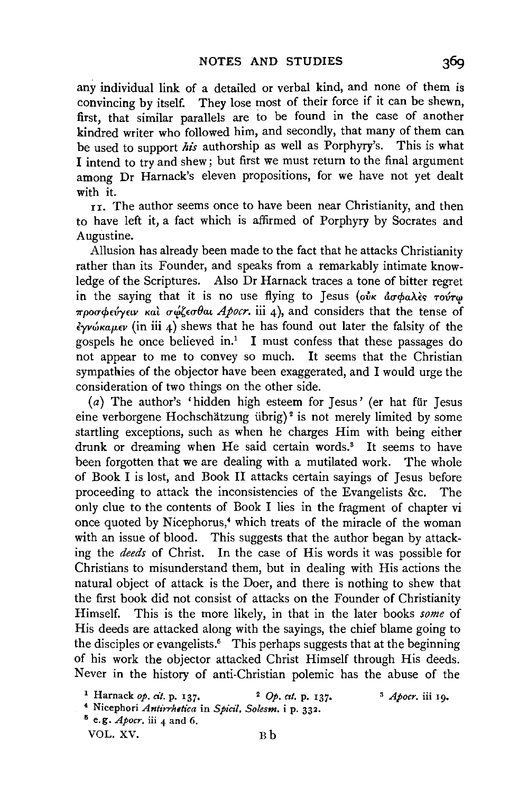any individual link of a detailed or verbal kind, and none of them is convincing by itself. They lose most of their force if it can be shewn, first, that similar parallels are to be found in the case of another kindred writer who followed him, and secondly, that many of them can be used to support *his* authorship as well as Porphyry's. This is what I intend to try and shew; but first we must return to the final argument among Dr Harnack's eleven propositions, for we have not yet dealt with it.

rr. The author seems once to have been near Christianity, and then to have left it, a fact which is affirmed of Porphyry by Socrates and Augustine.

Allusion has already been made to the fact that he attacks Christianity rather than its Founder, and speaks from a remarkably intimate knowledge of the Scriptures. Also Dr Harnack traces a tone of bitter regret in the saying that it is no use flying to Jesus (our *dorpalies Toute προσφεύγειν και σώζεσθαι Apocr.* iii 4), and considers that the tense of  $\frac{2}{\gamma}$ *νώκαμεν* (in iii 4) shews that he has found out later the falsity of the gospels he once believed in.<sup>1</sup> I must confess that these passages do not appear to me to convey so much. It seems that the Christian sympathies of the objector have been exaggerated, and I would urge the consideration of two things on the other side.

(a) The author's 'hidden high esteem for Jesus' (er hat fiir Jesus eine verborgene Hochschätzung übrig)<sup>2</sup> is not merely limited by some startling exceptions, such as when he charges Him with being either drunk or dreaming when He said certain words.<sup>3</sup> It seems to have been forgotten that we are dealing with a mutilated work. The whole of Book I is lost, and Book II attacks certain sayings of Jesus before proceeding to attack the inconsistencies of the Evangelists &c. The only clue to the contents of Book I lies in the fragment of chapter vi once quoted by Nicephorus,<sup>4</sup> which treats of the miracle of the woman with an issue of blood. This suggests that the author began by attacking the *deeds* of Christ. In the case of His words it was possible for Christians to misunderstand them, but in dealing with His actions the natural object of attack is the Doer, and there is nothing to shew that the first book did not consist of attacks on the Founder of Christianity Himself. This is the more likely, in that in the later books *some* of His deeds are attacked along with the sayings, the chief blame going to the disciples or evangelists.<sup>5</sup> This perhaps suggests that at the beginning of his work the objector attacked Christ Himself through His deeds. Never in the history of anti-Christian polemic has the abuse of the

VOL. XV. Bb

<sup>&</sup>lt;sup>1</sup> Harnack *op. cit.* p. 137. <sup>2</sup> *Op. cit.* p. 137. <sup>3</sup> *Apocr.* iii 19. ' Nicephori *Antirrhetica* in *Spicil. Solesm.* i p. 332.  $6$  e.g. *Apocr*. iii 4 and 6.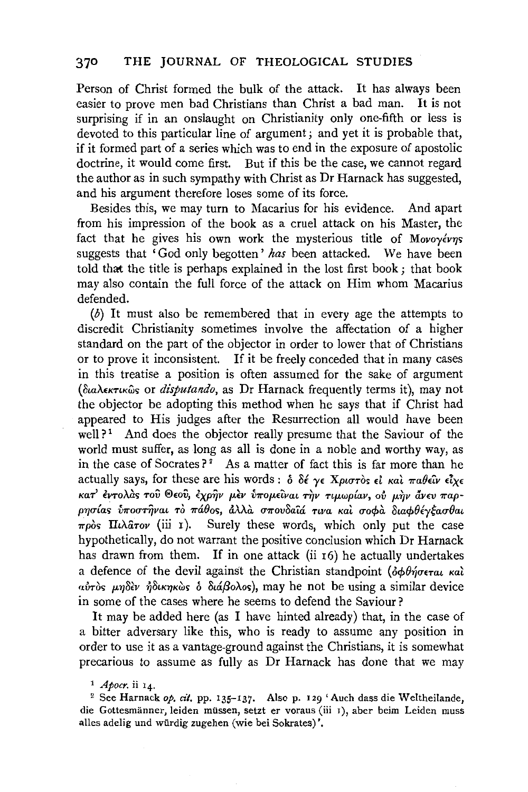Person of Christ formed the bulk of the attack. It has always been easier to prove men bad Christians than Christ a bad man. It is not surprising if in an onslaught on Christianity only one-fifth or less is devoted to this particular line of argument; and yet it is probable that, if it formed part of a series which was to end in the exposure of apostolic doctrine, it would come first. But if this be the case, we cannot regard the author as in such sympathy with Christ as Dr Harnack has suggested, and his argument therefore loses some of its force.

Besides this, we may turn to Macarius for his evidence. And apart from his impression of the book as a cruel attack on his Master, the fact that he gives his own work the mysterious title of *Movoyevns* suggests that 'God only begotten' *has* been attacked. We have been told that the title is perhaps explained in the lost first book; that book may also contain the full force of the attack on Him whom Macarius defended.

 $(b)$  It must also be remembered that in every age the attempts to discredit Christianity sometimes involve the affectation of a higher standard on the part of the objector in order to lower that of Christians or to prove it inconsistent. If it be freely conceded that in many cases in this treatise a position is often assumed for the sake of argument (διαλεκτικώς or *disputando*, as Dr Harnack frequently terms it), may not the objector be adopting this method when he says that if Christ had appeared to His judges after the Resurrection all would have been well?<sup>1</sup> And does the objector really presume that the Saviour of the world must suffer, as long as all is done in a noble and worthy way, as in the case of Socrates  $?$ <sup>2</sup> As a matter of fact this is far more than he actually says, for these are his words :  $\delta$   $\delta \epsilon \gamma \epsilon$  Xptoros  $\epsilon \iota$  *Kat*  $\pi a \theta \epsilon \iota \nu \epsilon \iota \chi \epsilon$ KaT' έντολας του Θεου, έχρην μεν υπομείναι την τιμωρίαν, ου μην άνευ παρpησίας υποστήναι το πάθος, άλλα σπουδαίά τινα και σοφα διαφθέγξασθαι  $\pi \rho$ os **II** $\lambda$ arov (iii 1). Surely these words, which only put the case hypothetically, do not warrant the positive conclusion which Dr Harnack has drawn from them. If in one attack (ii  $r6$ ) he actually undertakes a defence of the devil against the Christian standpoint  $(\delta \phi \theta \eta \sigma \epsilon \tau a \mu \kappa a \lambda)$  $a\dot{v}$ *ros μηδεν ήδικηκώς δ διάβολος*), may he not be using a similar device in some of the cases where he seems to defend the Saviour?

It may be added here (as I have hinted already) that, in the case of a bitter adversary like this, who is ready to assume any position in order to use it as a vantage-ground against the Christians, it is somewhat precarious to assume as fully as Dr Harnack has done that we may

<sup>&</sup>lt;sup>1</sup> Apocr. ii 14.<br><sup>2</sup> See Harnack op. cit. pp. 135-137. Also p. 129 'Auch dass die Weltheilande, die Gottesmänner, leiden müssen, setzt er voraus (iii 1), aber beim Leiden muss alles adelig und wurdig zugehen (wie bei Sokrates)'.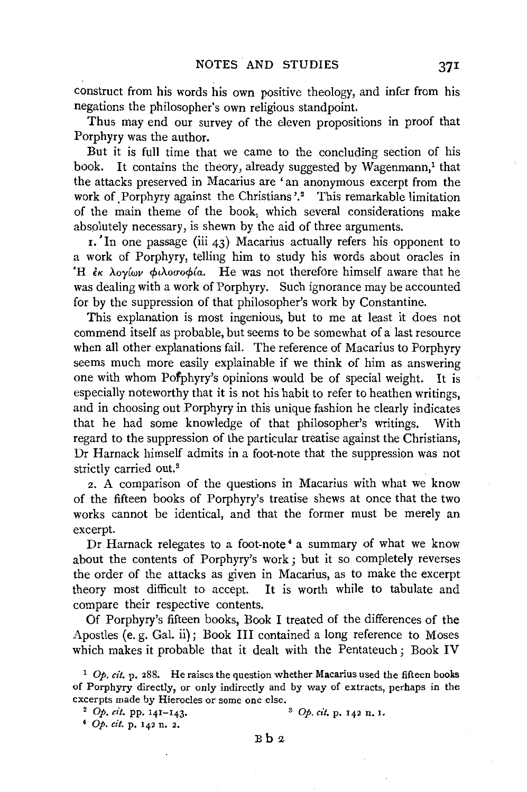construct from his words his own positive theology, and infer from his negations the philosopher's own religious standpoint.

Thus may end our survey of the eleven propositions in proof that Porphyry was the author.

But it is full time that we came to the concluding section of his book. It contains the theory, already suggested by Wagenmann,<sup>1</sup> that the attacks preserved in Macarius are 'an anonymous excerpt from the work of Porphyry against the Christians'.<sup>2</sup> This remarkable limitation of the main theme of the book, which several considerations make absolutely necessary, is shewn by the aid of three arguments.

 $r$ . In one passage (iii 43) Macarius actually refers his opponent to a work of Porphyry, telling him to study his words about oracles in <sup>'</sup>H *εκ λογίων φιλοσοφία*. He was not therefore himself aware that he was dealing with a work of Porphyry. Such ignorance may be accounted for by the suppression of that philosopher's work by Constantine.

This explanation is most ingenious, but to me at least it does not commend itself as probable, but seems to be somewhat of a last resource when all other explanations fail. The reference of Macarius to Porphyry seems much more easily explainable if we think of him as answering one with whom Pofphyry's opinions would be of special weight. It is especially noteworthy that it is not his habit to refer to heathen writings, and in choosing out Porphyry in this unique fashion he clearly indicates that he had some knowledge of that philosopher's writings. With regard to the suppression of the particular treatise against the Christians, Dr Harnack himself admits in a foot-note that the suppression was not strictly carried out.<sup>3</sup>

*z.* A comparison of the questions in Macarius with what we know of the fifteen books of Porphyry's treatise shews at once that the two works cannot be identical, and that the former must be merely an excerpt.

Dr Harnack relegates to a foot-note 4 a summary of what we know about the contents of Porphyry's work ; but it so completely reverses the order of the attacks as given in Macarius, as to make the excerpt theory most difficult to accept. It is worth while to tabulate and compare their respective contents.

Of Porphyry's fifteen books, Book I treated of the differences of the Apostles (e. g. Gal. ii); Book III contained a long reference to Moses which makes it probable that it dealt with the Pentateuch; Book IV

<sup>4</sup>Op. *cit.* p. 142 n. 2.

 $Bb2$ 

 $1$  Op. *cit.* p. 288. He raises the question whether Macarius used the fifteen books of Porphyry directly, or only indirectly and by way of extracts, perhaps in the excerpts made by Hierocles or some one else.<br><sup>2</sup> Op. *cit.* pp. 141-143.<br><sup>3</sup> Op. *cit.* p. 142 n. I.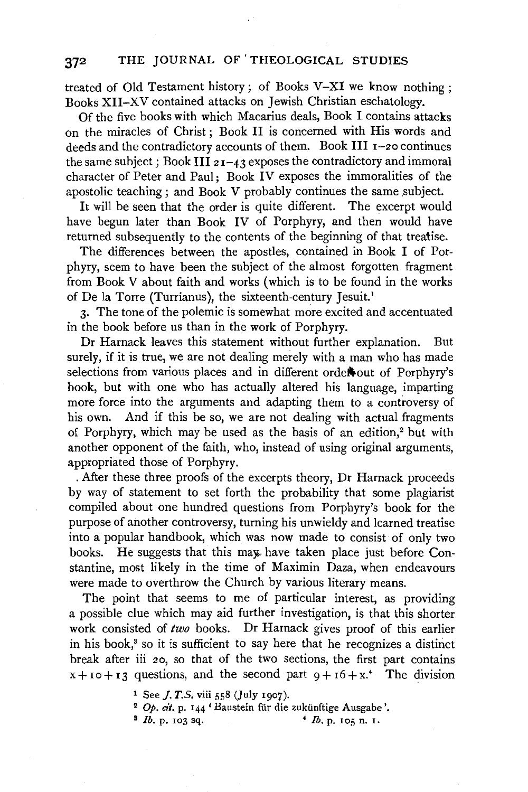### 372 THE JOURNAL OF 'THEOLOGICAL STUDIES

treated of Old Testament history; of Books V-XI we know nothing; Books XII-XV contained attacks on Jewish Christian eschatology.

Of the five books with which Macarius deals, Book I contains attacks on the miracles of Christ ; Book II is concerned with His words and deeds and the contradictory accounts of them. Book III 1-20 continues the same subject; Book III  $21-43$  exposes the contradictory and immoral character of Peter and Paul; Book IV exposes the immoralities of the apostolic teaching ; and Book V probably continues the same subject.

It will be seen that the order is quite different. The excerpt would have begun later than Book IV of Porphyry, and then would have returned subsequently to the contents of the beginning of that treatise.

The differences between the apostles, contained in Book I of Porphyry, seem to have been the subject of the almost forgotten fragment from Book V about faith and works (which is to be found in the works of De la Torre (Turrianus), the sixteenth-century Jesuit.<sup>1</sup>

3· The tone of the polemic is somewhat more excited and accentuated in the book before us than in the work of Porphyry.

Dr Harnack leaves this statement without further explanation. But surely, if it is true, we are not dealing merely with a man who has made selections from various places and in different orde#out of Porphyry's book, but with one who has actually altered his language, imparting more force into the arguments and adapting them to a controversy of his own. And if this be so, we are not dealing with actual fragments of Porphyry, which may be used as the basis of an edition,<sup>2</sup> but with another opponent of the faith, who, instead of using original arguments, appropriated those of Porphyry .

. After these three proofs of the excerpts theory, Dr Harnack proceeds by way of statement to set forth the probability that some plagiarist compiled about one hundred questions from Porphyry's book for the purpose of another controversy, turning his unwieldy and learned treatise into a popular handbook, which was now made to consist of only two books. He suggests that this may have taken place just before Constantine, most likely in the time of Maximin Daza, when endeavours were made to overthrow the Church by various literary means.

The point that seems to me of particular interest, as providing a possible clue which may aid further investigation, is that this shorter work consisted of *two* books. Dr Harnack gives proof of this earlier in his book,<sup>3</sup> so it is sufficient to say here that he recognizes a distinct break after iii 20, so that of the two sections, the first part contains  $x + i 0 + i 3$  questions, and the second part  $9 + i 6 + x$ .<sup>4</sup> The division

- <sup>1</sup> See *J. T.S.* viii 558 (July 1907).
- <sup>2</sup>Op. *cit.* p. 144 'Baustein fiir die zukiinftige Ausgabe '. 8 *lb.* p. 103 sq. 4 *lb.* p. 105 n. I.
-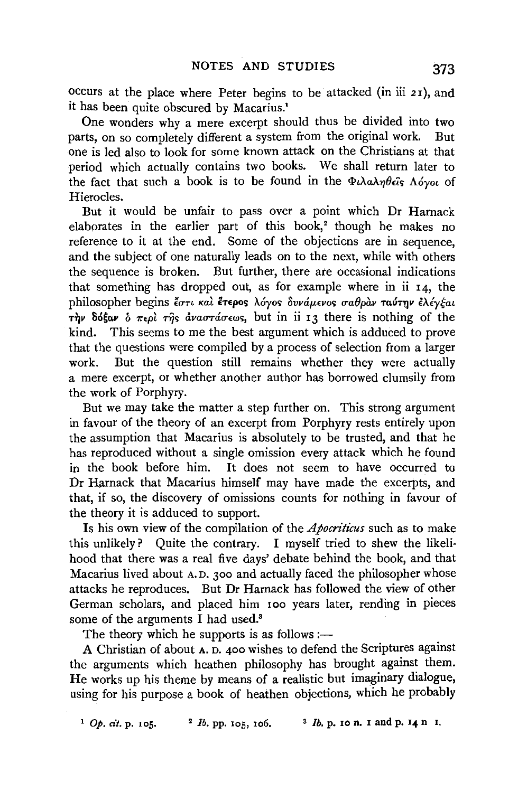occurs at the place where Peter begins to be attacked (in iii 21), and it has been quite obscured by Macarius.'

One wonders why a mere excerpt should thus be divided into two parts, on so completely different a system from the original work. But one is led also to look for some known attack on the Christians at that period which actually contains two books. We shall return later to the fact that such a book is to be found in the  $\Phi_l\lambda a\lambda\eta\theta_c\hat{\mathbf{i}}s\Lambda\hat{\mathbf{o}}\gamma o_l$  of Hierocles.

But it would be unfair to pass over a point which Dr Harnack elaborates in the earlier part of this book,<sup>2</sup> though he makes no reference to it at the end. Some of the objections are in sequence, and the subject of one naturally leads on to the next, while with others the sequence is broken. But further, there ate occasional indications that something has dropped out, as for example where in ii 14, the philosopher begins έστι και έτερος λόγος δυνάμενος σαθραν ταύτην ελέγξαι The Sofav  $\delta$   $\pi \epsilon \rho \partial$   $\tau \hat{\eta}$ s  $\delta \nu a \sigma \tau a \sigma \epsilon \omega s$ , but in ii 13 there is nothing of the kind. This seems to me the best argument which is adduced to prove This seems to me the best argument which is adduced to prove that the questions were compiled by a process of selection from a larger work. But the question still remains whether they were actually a mere excerpt, or whether another author has borrowed clumsily from the work of Porphyry.

But we may take the matter a step further on. This strong argument in favour of the theory of an excerpt from Porphyry rests entirely upon the assumption that Macarius is absolutely to be trusted, and that he has reproduced without a single omission every attack which he found in the book before him. It does not seem to have occurred to Dr Harnack that Macarius himself may have made the excerpts, and that, if so, the discovery of omissions counts for nothing in favour of the theory it is adduced to support.

Is his own view of the compilation of the *Apocriticus* such as to make this unlikely? Quite the contrary. I myself tried to shew the likelihood that there was a real five days' debate behind the book, and that Macarius lived about A.D. 300 and actually faced the philosopher whose attacks he reproduces. But Dr Harnack has followed the view of other German scholars, and placed him 100 years later, rending in pieces some of the arguments I had used.<sup>3</sup>

The theory which he supports is as follows :—

A Christian of about A. D. 400 wishes to defend the Scriptures against the arguments which heathen philosophy has brought against them. He works up his theme by means of a realistic but imaginary dialogue, using for his purpose a book of heathen objections, which he probably

 $1$  Op. *cit.* p. 105. <sup>2</sup> *lb.* pp. 105, 106. <sup>3</sup> *lb.* p. 10 n. 1 and p. 14 n I.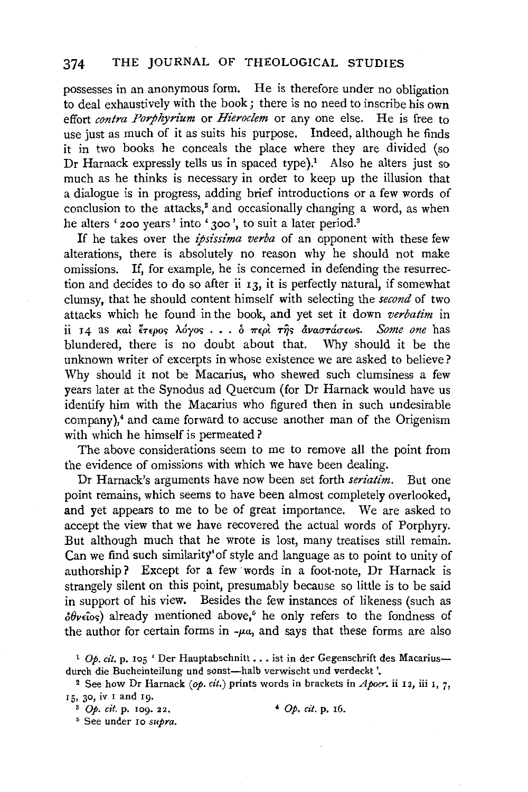#### 374 THE JOURNAL OF THEOLOGICAL STUDIES

possesses in an anonymous form. He is therefore under no obligation to deal exhaustively with the book; there is no need to inscribe his own effort *contra Porphyrium* or *Hieroclem* or any one else. He is free to use just as much of it as suits his purpose. Indeed, although he finds it in two books he conceals the place where they are divided (so Dr Harnack expressly tells us in spaced type).<sup>1</sup> Also he alters just so much as he thinks is necessary in order to keep up the illusion that a dialogue is in progress, adding brief introductions or a few words of conclusion to the attacks,<sup>2</sup> and occasionally changing a word, as when he alters ' 200 years' into ' 300', to suit a later period.<sup>3</sup>

If he takes over the *ipsissima verba* of an opponent with these few alterations, there is absolutely no reason why he should not make omissions. If, for example, he is concerned in defending the resurrection and decides to do so after ii 13, it is perfectly natural, if somewhat clumsy, that he should content himself with selecting the *second* of two attacks which he found in the book, and yet set it down *verbatim* in ii 14 as και έτερος λόγος . . . *b περι της αναστάσεως. Some one* has blundered, there is no doubt about that. Why should it be the unknown writer of excerpts in whose existence we are asked to believe? Why should it not be Macarius, who shewed such clumsiness a few years later at the Synodus ad Quercum (for Dr Harnack would have us identify him with the Macarius who figured then in such undesirable company),4 and came forward to accuse another man of the Origenism with which he himself is permeated?

The above considerations seem to me to remove all the point from the evidence of omissions with which we have been dealing.

Dr Harnack's arguments have now been set forth *seriatim.* But one point remains, which seems to have been almost completely overlooked, and yet appears to me to be of great importance. We are asked to accept the view that we have recovered the actual words of Porphyry. But although much that he wrote is lost, many treatises still remain. Can we find such similarity' of style and language as to point to unity of authorship? Except for a few words in a foot-note, Dr Harnack is strangely silent on this point, presumably because so little is to be said in support of his view. Besides the few instances of likeness (such as  $\partial \theta$ ve $\hat{i}$ os) already mentioned above,<sup>5</sup> he only refers to the fondness of the author for certain forms in  $-\mu a$ , and says that these forms are also

<sup>&</sup>lt;sup>1</sup> Op. cit. p. 105 'Der Hauptabschnitt . . . ist in der Gegenschrift des Macariusdurch die Bucheinteilung und sonst-halb verwischt und verdeckt'.

<sup>2</sup> See how Dr Harnack *(ap. cit.)* prints words in brackets in *Apacr.* ii 12, iii I, 7, 15, 30, iv I and 19.

<sup>3</sup>Op. *cit.* p. 109. 22. ~ Op. *cit.* p. 16. 5 See under 10 *supra.*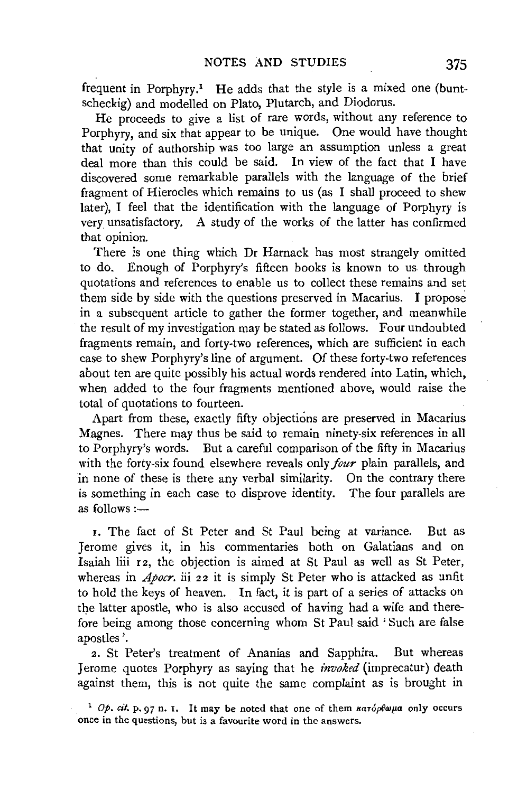frequent in Porphyry.<sup>1</sup> He adds that the style is a mixed one (buntscheckig) and modelled on Plato, Plutarch, and Diodorus.

He proceeds to give a list of rare words, without any reference to Porphyry, and six that appear to be unique. One would have thought that unity of authorship was too large an assumption unless a great deal more than this could be said. In view of the fact that I have discovered some remarkable parallels with the language of the brief fragment of Hierocles which remains to us (as I shall proceed to shew later), I feel that the identification with the language of Porphyry is very unsatisfactory. A study of the works of the latter has confirmed that opinion.

There is one thing which Dr Harnack has most strangely omitted to do. Enough of Porphyry's fifteen books is known to us through quotations and references to enable us to collect these remains and set them side by side with the questions preserved in Macarius. I propose in a subsequent article to gather the former together, and meanwhile the result of my investigation may be stated as follows. Four undoubted fragments remain, and forty-two references, which are sufficient in each case to shew Porphyry's line of argument. Of these forty-two references about ten are quite possibly his actual words rendered into Latin, which. when added to the four fragments mentioned above, would raise the total of quotations to fourteen.

Apart from these, exactly fifty objections are preserved in Macarius Magnes. There may thus be said to remain ninety-six references in all to Porphyry's words. But a careful comparison of the fifty in Macarius with the forty-six found elsewhere reveals only *four* plain parallels, and in none of these is there any verbal similarity. On the contrary there is something in each case to disprove identity. The four parallels are as follows  $:=$ 

I. The fact of St Peter and St Paul being at variance. But as Jerome gives it, in his commentaries both on Galatians and on Isaiah liii 12, the objection is aimed at St Paul as well as St Peter, whereas in *Apocr*. iii 22 it is simply St Peter who is attacked as unfit to hold the keys of heaven. In fact, it is part of a series of attacks on the latter apostle, who is also accused of having had a wife and therefore being among those concerning whom St Paul said 'Such are false apostles'.

2. St Peter's treatment of Ananias and Sapphira. But whereas Jerome quotes Porphyry as saying that he *invoked* (imprecatur) death against them, this is not quite the same complaint as is brought in

<sup>1</sup> Op.  $c$ it. p. 97 n. 1. It may be noted that one of them  $\kappa a \tau \delta \rho \theta \omega \mu a$  only occurs once in the questions, but is a favourite word in the answers.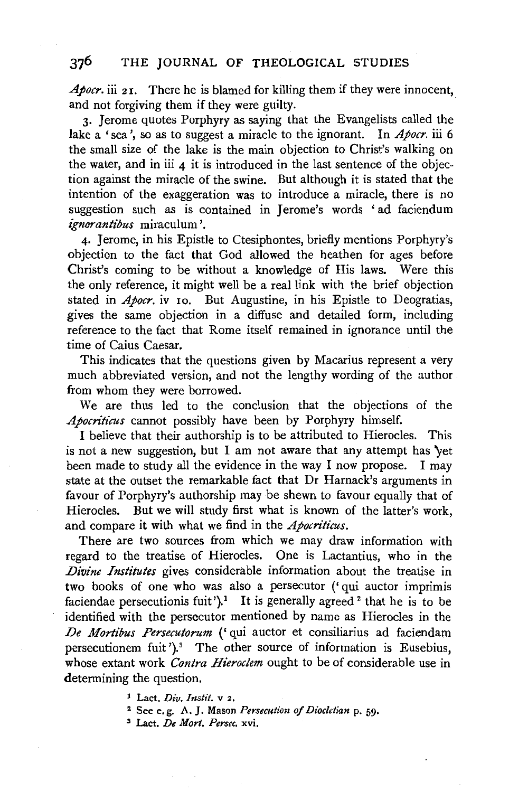### 376 THE JOURNAL OF THEOLOGICAL STUDIES

Apocr. iii 21. There he is blamed for killing them if they were innocent, and not forgiving them if they were guilty.

3· Jerome quotes Porphyry as saying that the Evangelists called the lake a 'sea', so as to suggest a miracle to the ignorant. In *Apocr*. iii 6 the small size of the lake is the main objection to Christ's walking on the water, and in iii  $\bf{4}$  it is introduced in the last sentence of the objection against the miracle of the swine. But although it is stated that the intention of the exaggeration was to introduce a miracle, there is no suggestion such as is contained in Jerome's words ' ad faciendum *ignorantibus* miraculum '.

4· Jerome, in his Epistle to Ctesiphontes, briefly mentions Porphyry's objection to the fact that God allowed the heathen for ages before Christ's coming to be without a knowledge of His laws. Were this the only reference, it might well be a real link with the brief objection stated in *Apocr*, iv 10. But Augustine, in his Epistle to Deogratias, gives the same objection in a diffuse and detailed form, including reference to the fact that Rome itself remained in ignorance until the time of Caius Caesar.

This indicates that the questions given by Macarius represent a very much abbreviated version, and not the lengthy wording of the author from whom they were borrowed.

We are thus led to the conclusion that the objections of the *Apocn'ticus* cannot possibly have been by Porphyry himself.

I believe that their authorship is to be attributed to Hierocles. This is not a new suggestion, but I am not aware that any attempt has 'yet been made to study all the evidence in the way I now propose. I may state at the outset the remarkable fact that Dr Harnack's arguments in favour of Porphyry's authorship may be shewn to favour equally that of Hierocles. But we will study first what is known of the latter's work, and compare it with what we find in the *Apocn'ticus.* 

There are two sources from which we may draw information with regard to the treatise of Hierocles. One is Lactantius, who in the *Divine Institutes* gives considerable information about the treatise in two books of one who was also a persecutor ('qui auctor imprimis faciendae persecutionis fuit').<sup>1</sup> It is generally agreed <sup>2</sup> that he is to be identified with the persecutor mentioned by name as Hierocles in the *De Mortibus Persecutorum* ('qui auctor et consiliarius ad faciendam persecutionem fuit ').<sup>3</sup> The other source of information is Eusebius. whose extant work *Contra Hieroclem* ought to be of considerable use in determining the question.

1 Lact. *Div. Instit.* v 2.

- 2 See e. g. A. J. Mason *Persecution of Diocletian* p. 59· 3 Lact. *De Mort. Persec.* xvi.
-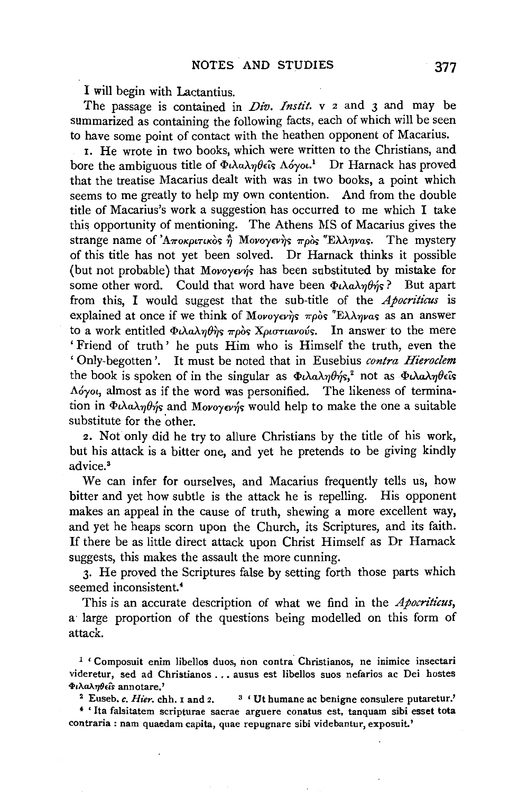I will begin with Lactantius.

The passage is contained in *Div. Instit.* v *z* and 3 and may be summarized as containing the following facts, each of which will be seen to have some point of contact with the heathen opponent of Macarius.

I. He wrote in two books, which were written to the Christians, and bore the ambiguous title of Φιλαληθεΐς Λόγοι.<sup>1</sup> Dr Harnack has proved that the treatise Macarius dealt with was in two books, a point which seems to me greatly to help my own contention. And from the double title of Macarius's work a suggestion has occurred to me which I take this opportunity of mentioning. The Athens MS of Macarius gives the strange name of 'Αποκριτικὸς <u>ή</u> Μονογενὴς πρὸς Έλληνας. The mystery of this title has not yet been solved. Dr Harnack thinks it possible (but not probable) that Movoyevis has been substituted by mistake for some other word. Could that word have been  $\Phi_t \lambda_a \lambda_n \theta'_\mathcal{B}$ ? But apart from this, I would suggest that the sub-title of the *Apocriticus* is explained at once if we think of Movoyev's  $\pi \rho \delta s$ <sup>\*</sup>E $\lambda \lambda \eta \nu a s$  as an answer to a work entitled  $\Phi\iota\lambda\alpha\lambda\eta\theta\eta s\pi\rho\delta s$  *X* $\rho\iota\sigma\tau\iota\alpha\nu\delta\eta s$ . In answer to the mere ' Friend of truth ' he puts Him who is Himself the truth, even the 'Only-begotten'. It must be noted that in Eusebius *contra Hieroclem*  the book is spoken of in the singular as  $\Phi_t \lambda a \lambda \eta \theta \eta' s$ ,<sup>2</sup> not as  $\Phi_t \lambda a \lambda \eta \theta \epsilon \hat{\mathbf{s}}$ *A6yot,* almost as if the word was personified. The likeness of termination in  $\Phi\lambda\alpha\lambda\eta\theta\eta$  and Movoyev $\eta$  would help to make the one a suitable substitute for the other.

*z.* Not only did he try to allure Christians by the title of his work, but his attack is a bitter one, and yet he pretends to be giving kindly advice. <sup>8</sup>

We can infer for ourselves, and Macarius frequently tells us, how bitter and yet how subtle is the attack he is repelling. His opponent makes an appeal in the cause of truth, shewing a more excellent way, and yet he heaps scorn upon the Church, its Scriptures, and its faith. If there be as little direct attack upon Christ Himself as Dr Harnack suggests, this makes the assault the more cunning.

3· He proved the Scriptures false by setting forth those parts which seemed inconsistent.<sup>4</sup>

This is an accurate description of what we find in the *Apocriticus,*  a· large proportion of the questions being modelled on this form of attack.

<sup>1</sup> ' Composuit enim libellos duos, non contra Christianos, ne inimice insectari videretur, sed ad Christianos ... ausus est libellos suos nefarios ac Dei hostes<br>Φιλαληθεῖs annotare.'

<sup>2</sup> Euseb. *c. Hier.* chh. 1 and 2. <sup>3</sup> 'Ut humane ac benigne consulere putaretur.'

*<sup>4</sup>*' Ita falsitatem scripturae sacrae arguere conatus est, tanquam sibi esset tota contraria: nam quaedam capita, quae repugnare sibi videbantur, exposuit.'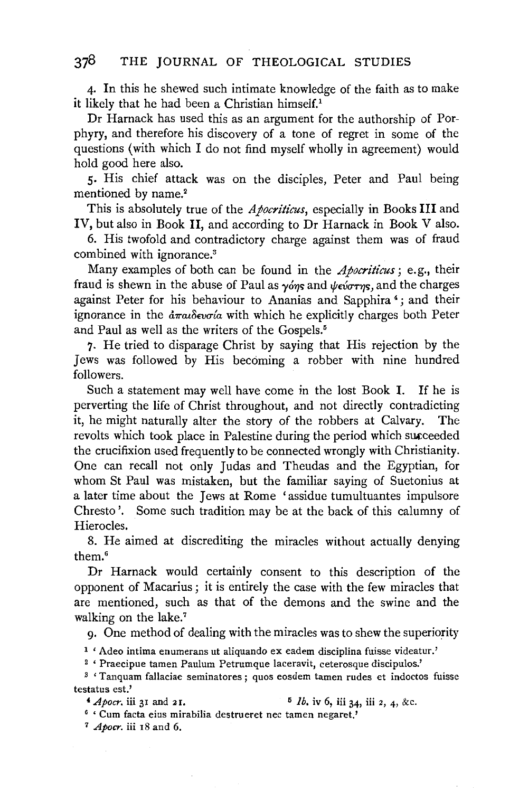4· In this he shewed such intimate knowledge of the faith as to make it likely that he had been a Christian himself.'

Dr Harnack has used this as an argument for the authorship of Porphyry, and therefore his discovery of a tone of regret in some of the questions (with which I do not find myself wholly in agreement) would hold good here also.

5· His chief attack was on the disciples, Peter and Paul being mentioned by name.<sup>2</sup>

This is absolutely true of the *Apocriticus,* especially in Books III and IV, but also in Book II, and according to Dr Harnack in Book V also.

6. His twofold and contradictory charge against them was of fraud combined with ignorance.3

Many examples of both can be found in the *Apocriticus* ; e. g., their fraud is shewn in the abuse of Paul as  $\gamma \omega \eta s$  and  $\psi \omega \omega \tau \eta s$ , and the charges against Peter for his behaviour to Ananias and Sapphira<sup>4</sup>; and their ignorance in the *άπαιδευσία* with which he explicitly charges both Peter and Paul as well as the writers of the Gospels.<sup>5</sup>

7· He tried to disparage Christ by saying that His rejection by the Jews was followed by His becoming a robber with nine hundred followers.

Such a statement may well have come in the lost Book I. If he is perverting the life of Christ throughout, and not directly contradicting it, he might naturally alter the story of the robbers at Calvary. The revolts which took place in Palestine during the period which succeeded the crucifixion used frequently to be connected wrongly with Christianity. One can recall not only Judas and Theudas and the Egyptian, for whom St Paul was mistaken, but the familiar saying of Suetonius at a later time about the Jews at Rome 'assidue tumultuantes impulsore Chresto '. Some such tradition may be at the back of this calumny of Hierocles.

8. He aimed at discrediting the miracles without actually denying them.•

Dr Harnack would certainly consent to this description of the opponent of Macarius; it is entirely the case with the few miracles that are mentioned, such as that of the demons and the swine and the walking on the lake.<sup>7</sup>

g. One method of dealing with the miracles was to shew the superiority

<sup>1</sup> ' Adeo intima enumerans ut aliquando ex eadem disciplina fuisse videatur.'<br><sup>2</sup> ' Praecipue tamen Paulum Petrumque laceravit, ceterosque discipulos.'<br><sup>3</sup> ' Tanquam fallaciae seminatores ; quos eosdem tamen rudes et indo testatus est.'

*4 Apocr.* iii 31 and 21. 5 *lb.* iv 6, iii 34, iii 2, 4, &c. 6 ' Cum facta eius mirabilia destrueret nee tamen negaret.'

7 *Apocr.* iii 18 and 6.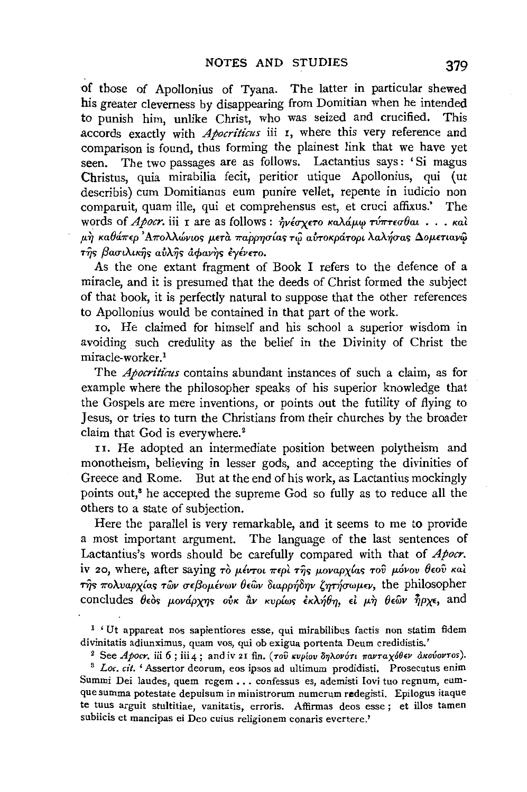of those of Apollonius of Tyana. The latter in particular shewed his greater cleverness by disappearing from Domitian when he intended to punish him, unlike Christ, who was seized and crucified. This accords exactly with *Apocriticus* iii I, where this very reference and comparison is found, thus forming the plainest link that we have yet seen. The two passages are as follows. Lactantius says: 'Si magus Christus, quia mirabilia fecit, peritior utique Apollonius, qui ( ut describis) cum Domitianus eum punire vellet, repente in iudicio non comparuit, quam ille, qui et comprehensus est, et cruci affixus.' The words of *Apocr*. iii τ are as follows: ήνέσχετο καλάμω τύπτεσθαι . . . καλ  $\mu$ ή καθάπερ 'Απολλώνιος μετα παρρησίας τω αυτοκράτορι λαλήσας Δομετιανώ της βασιλικης αύλης αφανης εγένετο.

As the one extant fragment of Book I refers to the defence of a miracle, and it is presumed that the deeds of Christ formed the subject of that book, it is perfectly natural to suppose that the other references to Apollonius would be contained in that part of the work.

ro. He claimed for himself and his school a superior wisdom in avoiding such credulity as the belief in the Divinity of Christ the miracle-worker.1

The *Apocriticus* contains abundant instances of such a claim, as for example where the philosopher speaks of his superior knowledge that the Gospels are mere inventions, or points out the futility of flying to Jesus, or tries to tum the Christians from their churches by the broader claim that God is everywhere.<sup>2</sup>

II. He adopted an intermediate position between polytheism and monotheism, believing in lesser gods, and accepting the divinities of Greece and Rome. But at the end of his work, as Lactantius mockingly points out,<sup>3</sup> he accepted the supreme God so fully as to reduce all the others to a state of subjection.

Here the parallel is very remarkable, and it seems to me to provide a most important argument. The language of the last sentences of Lactantius's words should be carefully compared with that of *Apocr.*  iv 20, where, after saying  $\tau\delta$   $\mu\acute{\epsilon}$ ντοι  $\pi\epsilon\rho\grave{\iota}$  της μοναρχίας του μόνου θεου καί  $\tau$ ης πολυαρχίας τῶν σεβομένων θεῶν διαρρήδην ζητήσωμεν, the philosopher concludes  $\theta$ εός μονάρχης ούκ ἂν κυρίως έκλήθη, εί μη θεῶν ήρχε, and

1 'Ut appareat nos sapientiores esse, qui mirabilibus factis non statim fidem divinitatis adiunximus, quam vos, qui ob exigua portenta Deum credidistis.'<br><sup>2</sup> See *Apocr*. iii 6; iii 4; and iv 21 fin. (τοῦ κυρίου δηλονότι πανταχόθεν ἀκούοντος).

<sup>3</sup>*Lac. cit.* 'Assertor deorum, eos ipsos ad ultimum prodidisti. Prosecutus enim Summi Dei laudes, quem regem •.. confessus es, ademisti Iovi tuo regnum, eumque summa potestate depulsum in ministrorum numerum redegisti. Epilogus itaque te tuus arguit stultitiae, vanitatis, erroris. Affirmas deos esse ; et illos tamen subiicis et mancipas ei Deo cuius religionem conaris evertere.'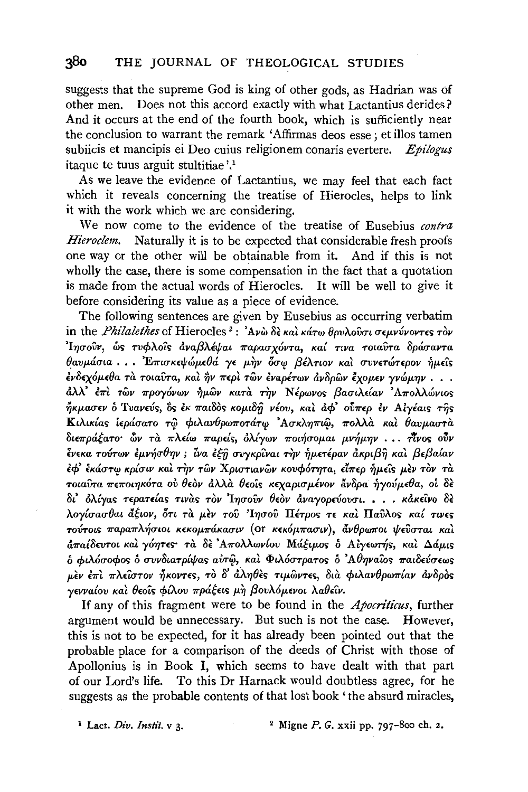# **380** THE JOURNAL OF THEOLOGICAL STUDIES

suggests that the supreme God is king of other gods, as Hadrian was of other men. Does not this accord exactly with what Lactantius derides? And it occurs at the end of the fourth book, which is sufficiently near the conclusion to warrant the remark 'Affirmas deos esse; et illos tamen subiicis et mancipis ei Deo cuius religionem conaris evertere. Epilogus itaque te tuus arguit stultitiae'.'

As we leave the evidence of Lactantius, we may feel that each fact which it reveals concerning the treatise of Hierocles, helps to link it with the work which we are considering.

We now come to the evidence of the treatise of Eusebius *contra Hieroclem.* Naturally it is to be expected that considerable fresh proofs one way or the other will be obtainable from it. And if this is not wholly the case, there is some compensation in the fact that a quotation is made from the actual words of Hierocles. It will be well to give it before considering its value as a piece of evidence.

The following sentences are given by Eusebius as occurring verbatim in the *Philalethes* of Hierocles<sup>2</sup>: 'Ανὼ δε και κάτω θρυλούσι σεμνύνοντες τον *'Ιησούν, ώς τυφλοίς αναβλέψαι παρασχόντα, καί τινα τοιαύτα δράσαντα*  $\theta$ αυμάσια . . . 'Επισκεψώμεθά γε μην όσω βέλτιον και συνετώτερον ήμεις *£vS£x6JJ-d}a Ta TOtaiffa, Kat* ~v *7r£pt TWV EYapirwv avSpwv £xoJJ-£V yvtiJJJ-'J]V* • • .  $d\lambda\lambda^2$  έπι των προγόνων ήμων κατα την Νέρωνος βασιλείαν Απολλώνιος  $\eta$ <sub>Kμασεν</sub> δ Τυανεύς, δς έκ παιδος κομιδή νέου, και αφ' ούπερ έν Αιγέαις της Kιλικίας ιεράσατο τω φιλανθρωποτάτω 'Ασκληπιώ, πολλά και θαυμαστα  $\delta$ ιεπράξατο **ών τα πλείω παρείς, όλίγων ποιήσομαι μνήμην ... πίνος ούν** *lY£Ka* TO~TWY EJJ-Y~U81]Y ; *ZYa £tfi UV)'Kptvat* T~V *iJJJ-£Tipav* aKpt{3~ *Kat {3£{3a{ay*   $\epsilon \phi$ ' έκάστω κρίσιν και την των Χριστιανων κουφότητα, είπερ ήμεις μεν τον τα *TOLAυτα πεποιηκότα ου θεον άλλα θεοίς κεχαρισμένον άνδρα ηγούμεθα, οι δε* δι' όλίγας τερατείας τινας τον 'Ιησούν θεον αναγορεύουσι. . . *· κάκε*ινο δε *>..oyluau8at atwY, 6n Ta JJ-f:V TOV 'I1]UOV ITirpor;* TE *Kat ITavA.or; Ka{ TtY£'>*   $\tau$ <sub>σύτους</sub> παραπλήσιοι κεκομπάκασιν (or κεκόμπασιν), άνθρωποι ψεύσται καί *a7ralSwrot Kat y61]TE'>' Ta* Sf: *'A7roAAwy{ov MattJJ-O'>* 0 Alyew~r;, *Kat ll.aj)-t'>*  0 *rptMuorpor;* 0 *uvyStarp{!f!ar; avT<l', Kat <f>tA6urpaTO'>* 0 *'A81]Yator; 7ratS£vuewr;*   $\mu$ εν επι πλείστον ήκοντες, το δ' άληθες τιμώντες, δια φιλανθρωπίαν ανδρος *yevva{ov Kat 8eo'ir; rp{A.ov 7rpatet'>* JJ-~ *{3ovA6JJ-EYot >..a8£tY.* 

If any of this fragment were to be found in the *Apocriticus,* further argument would be unnecessary. But such is not the case. However, this is not to be expected, for it has already been pointed out that the probable place for a comparison of the deeds of Christ with those of Apollonius is in Book I, which seems to have dealt with that part of our Lord's life. To this Dr Harnack would doubtless agree, for he suggests as the probable contents of that lost book 'the absurd miracles,

<sup>&</sup>lt;sup>1</sup> Lact. *Div. Instit.* **v** 3. <sup>2</sup> Migne *P. G.* xxii pp. 797-800 ch. 2.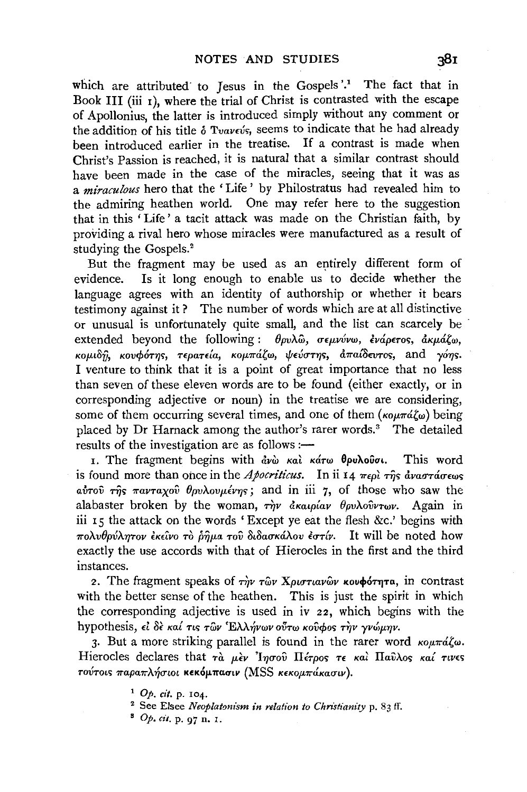which are attributed to Jesus in the Gospels'.<sup>1</sup> The fact that in Book III (iii I), where the trial of Christ is contrasted with the escape of Apollonius, the latter is introduced simply without any comment or the addition of his title  $\delta$  Tvavevs, seems to indicate that he had already been introduced earlier in the treatise. If a contrast is made when Christ's Passion is reached, it is natural that a similar contrast should have been made in the case of the miracles, seeing that it was as a *miraculous* hero that the ' Life ' by Philostratus had revealed him to the admiring heathen world. One may refer here to the suggestion that in this ' Life ' a tacit attack was made on the Christian faith, by providing a rival hero whose miracles were manufactured as a result of studying the Gospels.<sup>2</sup>

But the fragment may be used as an entirely different form of evidence. Is it long enough to enable us to decide whether the language agrees with an identity of authorship or whether it bears testimony against it? The number of words which are at all distinctive or unusual is unfortunately quite small, and the list can scarcely be extended beyond the following :  $\theta_{\mu\nu}$ λω, σεμνύνω, ένάρετος, ακμάζω, κομιδή, κουφότης, τερατεία, κομπάζω, ψεύστης, άπαίδευτος, and γόης. I venture to think that it is a point of great importance that no less than seven of these eleven words are to be found (either exactly, or in corresponding adjective or noun) in the treatise we are considering, some of them occurring several times, and one of them ( $\kappa \omega \pi \alpha \zeta \omega$ ) being placed by Dr Harnack among the author's rarer words.<sup>3</sup> The detailed results of the investigation are as follows :-

I. The fragment begins with  $\partial_x \psi$  Kat Katw  $\theta$ pu $\lambda$ ouot. This word is found more than once in the *Apocriticus*. In ii 14  $\pi\epsilon\rho\hat{i}$  rigs  $\hat{a}v$ *a* $\tau\hat{a}\sigma\epsilon\omega s$  $\alpha\dot{\nu}\tau$   $\alpha\dot{\nu}\tau\dot{\alpha}$   $\tau\alpha\gamma\alpha\chi$   $\alpha\dot{\nu}\theta$   $\rho\alpha\chi\dot{\alpha}\chi\dot{\nu}\gamma$  and in iii 7, of those who saw the alabaster broken by the woman,  $\tau \hat{\eta} v$   $\hat{\alpha} \kappa \hat{\alpha} \hat{\mu} \hat{\alpha} v$   $\theta \hat{\rho} v \lambda \hat{\sigma} \hat{\nu} \tau \omega v$ . Again in iii 15 the attack on the words 'Except ye eat the flesh &c.' begins with  $\pi$ ολυθρύλητον εκείνο τὸ ρημα τοῦ διδασκάλου εστίν. It will be noted how exactly the use accords with that of Hierocles in the first and the third instances.

2. The fragment speaks of  $\tau \hat{w}$   $\tau \hat{w}$  Xptoriavwv koupot  $\tau$ <sub>1</sub> in contrast with the better sense of the heathen. This is just the spirit in which the corresponding adjective is used in iv 22, which begins with the hypothesis, εί δε καί τις των Έλλήνων ούτω κούφος την γνώμην.

3. But a more striking parallel is found in the rarer word  $\kappa_0 u \pi d \zeta \omega$ . Hierocles declares that  $\tau \dot{a}$   $\mu \dot{\epsilon} \nu$  'Ingov II $\epsilon \tau \rho$ os  $\tau \epsilon$  και Παύλος καί τινες τούτοις παραπλήσιοι κεκόμπασιν (MSS κεκομπάκασιν).

<sup>1</sup>Op. *cit.* p. 104.

<sup>2</sup> See Elsee *Neoplatonism in relation to Christianity* p. 83 If.

<sup>•</sup> Op. *cit.* p. 97 n. I.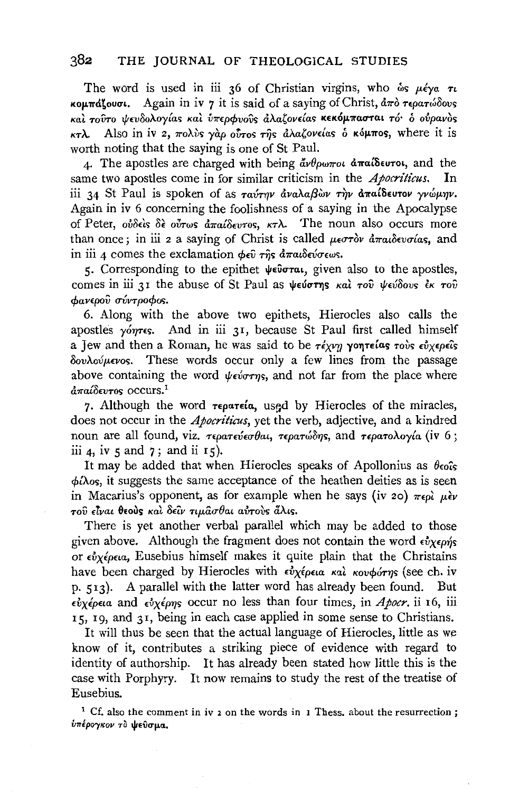## 382 THE JOURNAL OF THEOLOGICAL STUDIES

The word is used in iii 36 of Christian virgins, who  $\omega s \mu \epsilon \gamma a \tau b$  $κ$ **ομπάζουσι.** Again in iv 7 it is said of a saying of Christ,  $\frac{λ}{π}$  *τερατώδους Kal TOVTO t/t£v8oA.oy{as Kal ll'1r£pcpvovs a>..a,ov£las* K£KOJI-11'UO'TIU *TO'* 0 *oflpavos*  KTλ. Also in iv 2, πολύς γαρ ούτος της αλαζονείας ο κόμπος, where it is worth noting that the saying is one of St Paul.

4. The apostles are charged with being *ἄνθρωποι* ἀπαίδευτοι, and the same two apostles come in for similar criticism in the *Apocriticus*. In iii 34 St Paul is spoken of as *ταύτην άναλαβ*ών την άπαίδευτον γνώμην. Again in iv 6 concerning the foolishness of a saying in the Apocalypse of Peter, *ούδεις δε ούτως απαίδευτος, κτλ.* The noun also occurs more than once; in iii *z* a saying of Christ is called μεστὸν ἀπαιδευσίας, and in iii 4 comes the exclamation φεῦ της ἀπαιδεύσεως.

5. Corresponding to the epithet  $\psi \in \mathfrak{der}_{\mathfrak{m}}$ , given also to the apostles, comes in iii 31 the abuse of St Paul as ψεύστης και του ψεύδους έκ του *cpav£pov uvvrpocpos.* 

6. Along with the above two epithets, Hierocles also calls the apostles *yom*es. And in iii 31, because St Paul first called himself a Jew and then a Roman, he was said to be *τέχνη* γοητείας *τους εύχερε*ίς  $\delta$ <sup>ov</sup>λούμενος. These words occur only a few lines from the passage above containing the word  $\psi \in \mathcal{L}$  and not far from the place where  $d\pi a l \delta \epsilon \nu \tau$ os occurs.<sup>1</sup>

7. Although the word  $\tau \in \rho \alpha \tau \in \alpha$ , used by Hierocles of the miracles, does not occur in the *Apocriticus,* yet the verb, adjective, and a kindred noun are all found, viz. τερατεύεσθαι, τερατώδης, and τερατολογία (iv 6; iii 4, iv 5 and  $7$ ; and ii  $15$ ).

It may be added that when Hierocles speaks of Apollonius as  $\theta_{\text{co}}$ <sup>c</sup>s  $\phi$ *i* $\lambda$ os, it suggests the same acceptance of the heathen deities as is seen in Macarius's opponent, as for example when he says (iv 20)  $\pi\epsilon\rho\hat{i}$   $\mu\hat{\epsilon}\nu$  $\tau$ ού είναι θεούς και δείν τιμασθαι αντούς άλις.

There is yet another verbal parallel which may be added to those given above. Although the fragment does not contain the word  $\epsilon v_{X}\epsilon\rho\gamma s$ or *£ilxlpna,* Eusebius himself makes it quite plain that the Christains have been charged by Hierocles with *εύχέρεια και κουφότης* (see ch. iv p. SI3)· A parallel with the latter word has already been found. But  $εyερεια$  and εύχέρης occur no less than four times, in *Apocr*. ii 16, iii IS, 19, and 31, being in each case applied in some sense to Christians.

It will thus be seen that the actual language of Hierocles, little as we know of it, contributes a striking piece of evidence with regard to identity of authorship. It has already been stated how little this is the case with Porphyry. It now remains to study the rest of the treatise of Eusebius.

<sup>1</sup> Cf. also the comment in iv z on the words in 1 Thess. about the resurrection; *υπέρογκον το ψεύσμα.*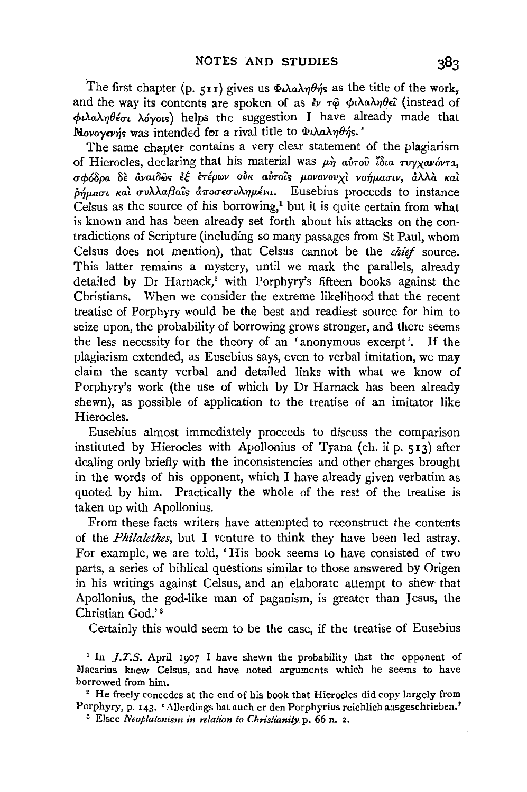The first chapter (p. 511) gives us  $\Phi \lambda \alpha \lambda \eta \theta \eta$  as the title of the work, and the way its contents are spoken of as  $\epsilon_V$   $\tau$  $\hat{\varphi}$   $\phi$ *i* $\lambda$ a $\lambda$ *n* $\theta$  $\epsilon$ *i* (instead of *cfnAaATJBlcn* Myo,c;) helps the suggestion I have already made that Movoyevýs was intended for a rival title to  $\Phi$ ιλαληθής.

The same chapter contains a very clear statement of the plagiarism of Hierocles, declaring that his material was  $\mu$ *n avrou*<sup>7</sup> is *a avryxavovra*, *u***co***δε αναιδώς εξ επέρων ούκ αύτοῦς μονονουχὶ νοήμασιν, ἀλλὰ καὶ*  $\delta_{\mu\mu\alpha\sigma\iota}$  και συλλαβαΐς άποσεσυλημένα. Eusebius proceeds to instance Celsus as the source of his borrowing,! but it is quite certain from what is known and has been already set forth about his attacks on the contradictions of Scripture (including so many passages from St Paul, whom Celsus does not mention), that Celsus cannot be the *chief* source. This latter remains a mystery, until we mark the parallels, already detailed by Dr Harnack,<sup>2</sup> with Porphyry's fifteen books against the Christians. When we consider the extreme likelihood that the recent treatise of Porphyry would be the best and readiest source for him to seize upon, the probability of borrowing grows stronger, and there seems the less necessity for the theory of an 'anonymous excerpt'. If the plagiarism extended, as Eusebius says, even to verbal imitation, we may claim the scanty verbal and detailed links with what we know of Porphyry's work (the use of which by Dr Harnack has been already shewn), as possible of application to the treatise of an imitator like Hierocles.

Eusebius almost immediately proceeds to discuss the comparison instituted by Hierocles with Apollonius of Tyana (ch. ii p. 513) after dealing only briefly with the inconsistencies and other charges brought in the words of his opponent, which I have already given verbatim as quoted by him. Practically the whole of the rest of the treatise is taken up with Apollonius.

From these facts writers have attempted to reconstruct the contents of the *Philalethes,* but I venture to think they have been led astray. For example, we are told, 'His book seems to have consisted of two parts, a series of biblical questions similar to those answered by Origen in his writings against Celsus, and an· elaborate attempt to shew that Apollonius, the god-like man of paganism, is greater than Jesus, the Christian God.' 8

Certainly this would seem to be the case, if the treatise of Eusebius

<sup>1</sup> In *J.T.S.* April 1907 I have shewn the probability that the opponent of Macarius knew Celsus, and have noted arguments which he seems to have borrowed from him.<br><sup>2</sup> He freely concedes at the end of his book that Hierocles did copy largely from

Porphyry, p. 143. 'Allerdings hat auch er den Porphyrius reichlich ausgeschrieben.' 3 Elsee *Neoplatonism in relation to Christianity* p. 66 n. 2.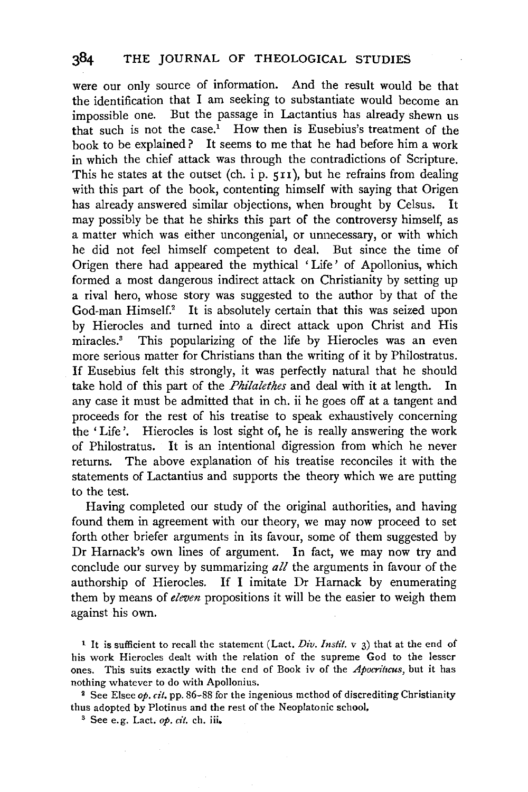were our only source of information. And the result would be that the identification that I am seeking to substantiate would become an impossible one. But the passage in Lactantius has already shewn us that such is not the case.<sup>1</sup> How then is Eusebius's treatment of the book to be explained? It seems to me that he had before him a work in which the chief attack was through the contradictions of Scripture. This he states at the outset (ch. i p. 511), but he refrains from dealing with this part of the book, contenting himself with saying that Origen has already answered similar objections, when brought by Celsus. It may possibly be that he shirks this part of the controversy himself, as a matter which was either uncongenial, or unnecessary, or with which he did not feel himself competent to deal. But since the time of Origen there had appeared the mythical 'Life' of Apollonius, which formed a most dangerous indirect attack on Christianity by setting up a rival hero, whose story was suggested to the author by that of the God-man Himself.<sup>2</sup> It is absolutely certain that this was seized upon by Hierocles and turned into a direct attack upon Christ and His miracles.<sup>3</sup> This popularizing of the life by Hierocles was an even more serious matter for Christians than the writing of it by Philostratus. If Eusebius felt this strongly, it was perfectly natural that he should take hold of this part of the *Philalethes* and deal with it at length. In any case it must be admitted that in ch. ii he goes off at a tangent and proceeds for the rest of his treatise to speak exhaustively concerning the 'Life'. Hierocles is lost sight of, he is really answering the work of Philostratus. It is an intentional digression from which he never returns. The above explanation of his treatise reconciles it with the statements of Lactantius and supports the theory which we are putting to the test.

Having completed our study of the original authorities, and having found them in agreement with our theory, we may now proceed to set forth other briefer arguments in its favour, some of them suggested by Dr Harnack's own lines of argument. In fact, we may now try and conclude our survey by summarizing *all* the arguments in favour of the authorship of Hierocles. If I imitate Dr Harnack by enumerating them by means of *eleven* propositions it will be the easier to weigh them against his own.

1 It is sufficient to recall the statement (Lact. *Div. Instit.* v 3) that at the end of his work Hierocles dealt with the relation of the supreme God to the lesser ones. This suits exactly with the end of Book iv of the Apocriticus, but it has nothing whatever to do with Apollonius.

2 See Elsee op. *cit.* pp. 86-88 for the ingenious method of discrediting Christianity thus adopted by Plotinus and the rest of the Neoplatonic school, <sup>3</sup> See e.g. Lact. *op. cit.* ch. iii.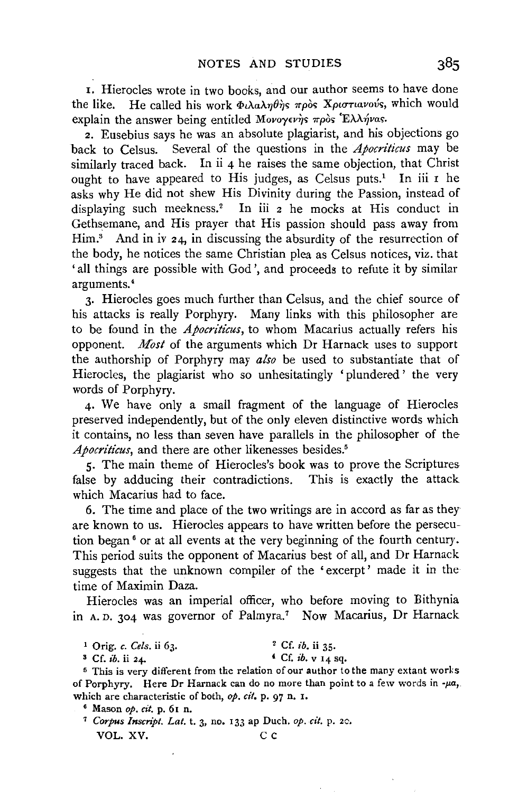1. Hierocles wrote in two books, and our author seems to have done the like. He called his work Φιλαληθής πρός Χριστιανούς, which would explain the answer being entitled Μονογενής πρὸς Έλλήνας.

2. Eusebius says he was an absolute plagiarist, and his objections go back to Celsus. Several of the questions in the *Apocriticus* may be similarly traced back. In ii 4 he raises the same objection, that Christ ought to have appeared to His judges, as Celsus puts.<sup>1</sup> In iii  $r$  he asks why He did not shew His Divinity during the Passion, instead of displaying such meekness.<sup>2</sup> In iii 2 he mocks at His conduct in Gethsemane, and His prayer that His passion should pass away from  $Him.$ <sup>3</sup> And in iv  $24$ , in discussing the absurdity of the resurrection of the body, he notices the same Christian plea as Celsus notices, viz. that 'all things are possible with God', and proceeds to refute it by similar arguments.•

3· Hierocles goes much further than Celsus, and the chief source of his attacks is really Porphyry. Many links with this philosopher are to be found in the *Apocriticus*, to whom Macarius actually refers his opponent. *Most* of the arguments which Dr Harnack uses to support the authorship of Porphyry may *also* be used to substantiate that of Hierocles, the plagiarist who so unhesitatingly 'plundered' the very words of Porphyry.

4· We have only a small fragment of the language of Hierocles preserved independently, but of the only eleven distinctive words which it contains, no less than seven have parallels in the philosopher of the *Apocriticus*, and there are other likenesses besides.<sup>5</sup>

5· The main theme of Hierocles's book was to prove the Scriptures false by adducing their contradictions. This is exactly the attack which Macarius had to face.

6. The time and place of the two writings are in accord as far as they are known to us. Hierocles appears to have written before the persecution began 6 or at all events at the very beginning of the fourth century. This period suits the opponent of Macarius best of all, and Dr Harnack suggests that the unknown compiler of the 'excerpt' made it in the time of Maximin Daza.

Hierocles was an imperial officer, who before moving to Bithynia in A. D. 304 was governor of Palmyra.<sup>7</sup> Now Macarius, Dr Harnack

1 Orig. *c. Cels.* ii 63. 2 Cf. *ib.* ii 35·

s Cf. *ib.* ii 24. 4 Ct: *ib.* v 14 sq.

5 This is very different from the relation of our author to the many extant works of Porphyry. Here Dr Harnack can do no more than point to a few words in  $-\mu a$ , which are characteristic of both, *op. cit.* p. 97 n. 1.

<sup>6</sup> Mason *op. cit.* p. 61 n. 7 *Corpus lnscript. Lat.* t. 3, no. 133 ap Duch. *op. cit.* p. 2c. VOL. XV. C C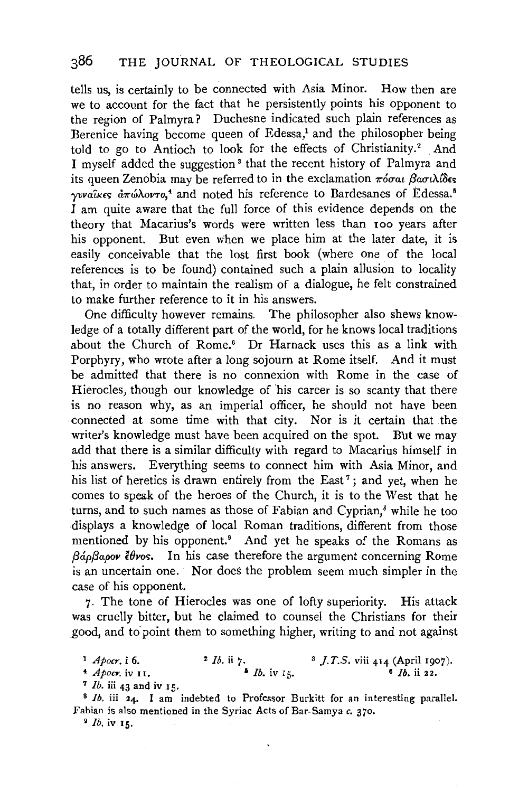tells us, is certainly to be connected with Asia Minor. How then are we to account for the fact that he persistently points his opponent to the region of Palmyra? Duchesne indicated such plain references as Berenice having become queen of Edessa,<sup>1</sup> and the philosopher being told to go to Antioch to look for the effects of Christianity.<sup>2</sup> And I myself added the suggestion<sup>3</sup> that the recent history of Palmyra and its queen Zenobia may be referred to in the exclamation  $\pi$ *ioral*  $\beta$ *aou* $\lambda$ *i* $\delta$ es *γυναίκες άπώλοντο*,<sup>4</sup> and noted his reference to Bardesanes of Edessa.<sup>5</sup> I am quite aware that the full force of this evidence depends on the theory that Macarius's words were written less than 100 years after his opponent. But even when we place him at the later date, it is easily conceivable that the lost first book (where one of the local references is to be found) contained such a plain allusion to locality that, in order to maintain the realism of a dialogue, he felt constrained to make further reference to it in his answers.

One difficulty however remains. The philosopher also shews knowledge of a totally different part of the world, for he knows local traditions about the Church of Rome.<sup>6</sup> Dr Harnack uses this as a link with Porphyry, who wrote after a long sojourn at Rome itself. And it must be admitted that there is no connexion with Rome in the case of Hierocles, though our knowledge of his career is so scanty that there is no reason why, as an imperial officer, he should not have been connected at some time with that city. Nor is it certain that the writer's knowledge must have been acquired on the spot. But we may add that there is a similar difficulty with regard to Macarius himself in his answers. Everything seems to connect him with Asia Minor, and his list of heretics is drawn entirely from the East<sup>7</sup>; and yet, when he comes to speak of the heroes of the Church, it is to the West that he turns, and to such names as those of Fabian and Cyprian,<sup>8</sup> while he too displays a knowledge of local Roman traditions, different from those mentioned by his opponent.<sup>9</sup> And yet he speaks of the Romans as *(30.pf3apov U}vos.* In his case therefore the argument concerning Rome is an uncertain one. Nor does the problem seem much simpler in the case of his opponent.

7. The tone of Hierocles was one of lofty superiority. His attack was cruelly bitter, but he claimed to counsel the Christians for their .good, and to'point them to something higher, writing to and not against

<sup>7</sup>*lb.* iii 43 and iv rs. 8 *lb.* iii 24. I am indebted to Professor Burkitt for an interesting parallel. Fabian is also mentioned in the Syriac Acts of Bar-Samya *c.* 370.

9 *lb.* iv rs.

<sup>1</sup> *Apocr.* i 6. 2 *lb.* ii 7. <sup>3</sup> *J.T.S.* viii 414 (April 1907).<br>4 *Apocr.* iv 11. <sup>2</sup> *Ib.* ii  $\frac{1}{2}$ . <sup>2</sup> *Ib.* ii 7.<br>**5** *Ib.* iv 15.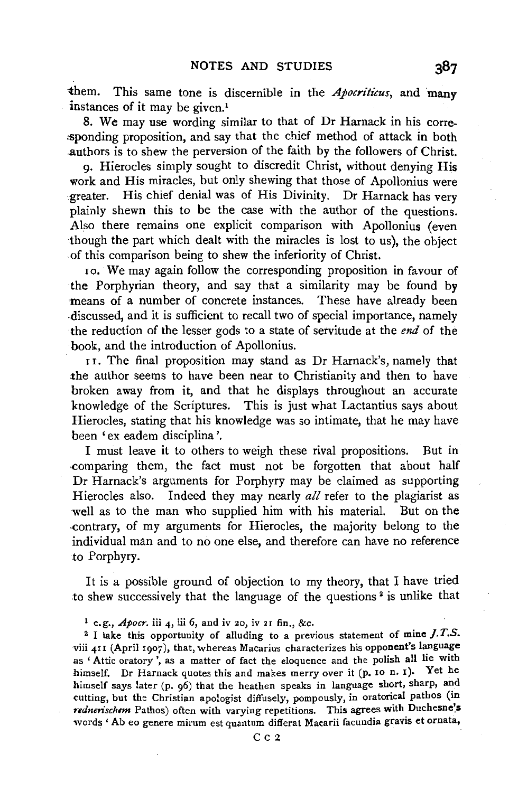them. This same tone is discernible in the *Apocriticus*, and many instances of it may be given.<sup>1</sup>

8. We may use wording similar to that of Dr Harnack in his corre- :sponding proposition, and say that the chief method of attack in both ,authors is to shew the perversion of the faith by the followers of Christ.

9· Hierocles simply sought to discredit Christ, without denying His work and His miracles, but only shewing that those of Apollonius were greater. His chief denial was of His Divinity. Dr Harnack has very plainly shewn this to be the case with the author of the questions. Also there remains one explicit comparison with Apollonius (even though the part which dealt with the miracles is lost to us), the object of this comparison being to shew the inferiority of Christ.

10. We may again follow the corresponding proposition in favour of the Porphyrian theory, and say that a similarity may be found by means of a number of concrete instances. These have already been .discussed, and it is sufficient to recall two of special importance, namely the reduction of the lesser gods to a state of servitude at the *end* of the book, and the introduction of Apollonius.

1 1. The final proposition may stand as Dr Harnack's, namely that the author seems to have been near to Christianity and then to have broken away from it, and that he displays throughout an accurate knowledge of the Scriptures. This is just what Lactantius says about Hierocles, stating that his knowledge was so intimate, that he may have been 'ex eadem disciplina '.

I must leave it to others to weigh these rival propositions. But in .comparing them, the fact must not be forgotten that about half Dr Harnack's arguments for Porphyry may be claimed as supporting Hierocles also. Indeed they may nearly *all* refer to the plagiarist as well as to the man who supplied him with his material. But on the ·contrary, of my arguments for Hierocles, the majority belong to the individual man and to no one else, and therefore can have no reference to Porphyry.

It is a possible ground of objection to my theory, that I have tried to shew successively that the language of the questions<sup>2</sup> is unlike that

1 e.g., *Apocr.* iii 4, iii 6, and iv 20, iv 21 fin., &c. 2 I take this opportunity of alluding to a previous statement of mine *}.* T.S. viii 411 (April 1907), that, whereas Macarius characterizes his opponent's language as 'Attic oratory', as a matter of fact the eloquence and the polish all lie with himself. Dr Harnack quotes this and makes merry over it (p. 10 n. x). Yet he himself says later (p. 96) that the heathen speaks in language short, sharp, and cutting, but the Christian apologist diffusely, pompously, in oratorical pathos (in rednerischem Pathos) often with varying repetitions. This agrees with Duchesne's words ' Ab eo genere mirum est quantum differat Macarii facundia gravis et ornata,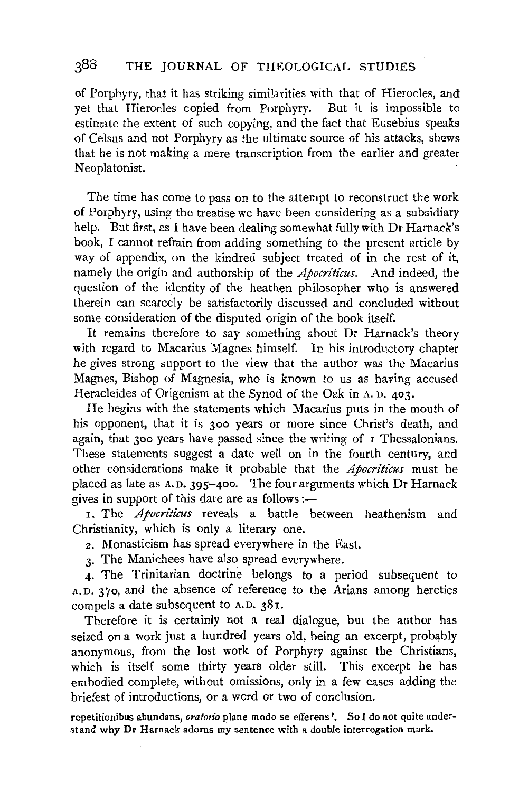### 388 THE JOURNAL OF THEOLOGICAL STUDIES

of Porphyry, that it has striking similarities with that of Hierocles, and yet that Hierocles copied from Porphyry. But it is impossible to estimate the extent of such copying, and the fact that Eusebius speaks of Celsus and not Porphyry as the ultimate source of his attacks, shews that he is not making a mere transcription from the earlier and greater Neoplatonist.

The time has come to pass on to the attempt to reconstruct the work of Porphyry, using the treatise we have been considering as a subsidiary help. But first, as I have been dealing somewhat fully with Dr Harnack's book, I cannot refrain from adding something to the present article by way of appendix, on the kindred subject treated of in the rest of it, namely the origin and authorship of the *Apocriticus.* And indeed, the question of the identity of the heathen philosopher who is answered therein can scarcely be satisfactorily discussed and concluded without some consideration of the disputed origin of the book itself.

It remains therefore to say something about Dr Harnack's theory with regard to Macarius Magnes himself. In his introductory chapter he gives strong support to the view that the author was the Macarius Magnes, Bishop of Magnesia, who is known to us as having accused Heracleides of Origenism at the Synod of the Oak in A. D. 403.

He begins with the statements which Macarius puts in the mouth of his opponent, that it is 300 years or more since Christ's death, and again, that 300 years have passed since the writing of 1 Thessalonians. These statements suggest a date well on in the fourth century, and other considerations make it probable that the *Apocriticus* must be placed as late as A.D. 395-400. The four arguments which Dr Harnack gives in support of this date are as follows :-

1. The *Apocriticus* reveals a battle between heathenism and Christianity, which is only a literary one.

2. Monasticism has spread everywhere in the East.

3· The Manichees have also spread everywhere.

4· The Trinitarian doctrine belongs to a period subsequent to A. D. 3 70, and the absence of reference to the Arians among heretics compels a date subsequent to A.D. 381.

Therefore it is certainly not a real dialogue, but the author has seized on a work just a hundred years old, being an excerpt, probably anonymous, from the lost work of Porphyry against the Christians, which is itself some thirty years older still. This excerpt he has embodied complete, without omissions, only in a few cases adding the briefest of introductions, or a word or two of conclusion.

repetitionibus abundans, *oratorio* plane modo se efferens '. So I do not quite understand why Dr Harnack adorns my sentence with a double interrogation mark.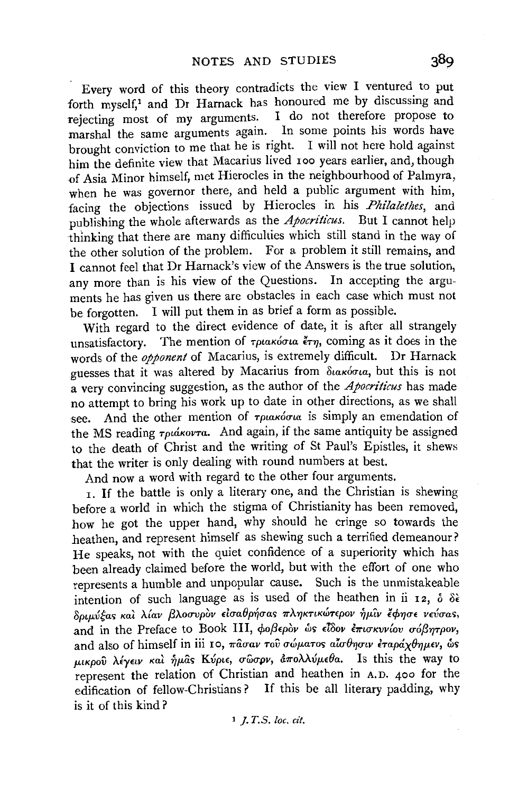Every word of this theory contradicts the view I ventured to put forth myself,<sup>1</sup> and Dr Harnack has honoured me by discussing and rejecting most of my arguments. I do not therefore propose to marshal the same arguments agam. In some points his words have brought conviction to me that he is right. I will not here hold against him the definite view that Macarius lived 100 years earlier, and, though of Asia Minor himself, met Hierocles in the neighbourhood of Palmyra, when he was governor there, and held a public argument with him, facing the objections issued by Hierocles in his *Philalethes,* and publishing the whole afterwards as the *Apocriticus.* But I cannot help thinking that there are many difficulties which still stand in the way of the other solution of the problem. For a problem it still remains, and I cannot feel that Dr Harnack's view of the Answers is the true solution, any more than is his view of the Questions. In accepting the arguments he has given us there are obstacles in each case which must not be forgotten. I will put them in as brief a form as possible.

With regard to the direct evidence of date, it is after all strangely unsatisfactory. The mention of  $\tau$ ptakó $\sigma$ ua  $\epsilon \tau \eta$ , coming as it does in the words of the *opponent* of Macarius, is extremely difficult. Dr Harnack guesses that it was altered by Macarius from διακόσια, but this is not a very convincing suggestion, as the author of the *Apocriticus* has made no attempt to bring his work up to date in other directions, as we shall see. And the other mention of  $\tau$ ριακόσια is simply an emendation of the MS reading  $\tau_{\text{pukovra}}$ . And again, if the same antiquity be assigned to the death of Christ and the writing of St Paul's Epistles, it shews that the writer is only dealing with round numbers at best.

And now a word with regard to the other four arguments.

1. If the battle is only a literary one, and the Christian is shewing before a world in which the stigma of Christianity has been removed, how he got the upper hand, why should he cringe so towards the heathen, and represent himself as shewing such a terrified demeanour? He speaks, not with the quiet confidence of a superiority which has been already claimed before the world, but with the effort of one who represents a humble and unpopular cause. Such is the unmistakeable intention of such language as is used of the heathen in ii 12,  $\delta \delta \hat{\epsilon}$ δριμύξας και λίαν βλοσυρον εισαθρήσας πληκτικώτερον ήμιν έφησε νεύσας. and in the Preface to Book III, φοβερον ως είδον επισκυνίου σόβητρον. and also of himself in iii 10,  $\pi \hat{a} \sigma a v$  του σώματος αίσθησιν εταράχθημεν, ως  $\mu\nu\kappa\rho$ ού λέγειν και ήμας Κύριε, σώσρν, άπολλύμεθα. Is this the way to represent the relation of Christian and heathen in A.D. 400 for the edification of fellow-Christians? If this be all literary padding, why is it of this kind ?

1 *]. T.S. loc. cit.*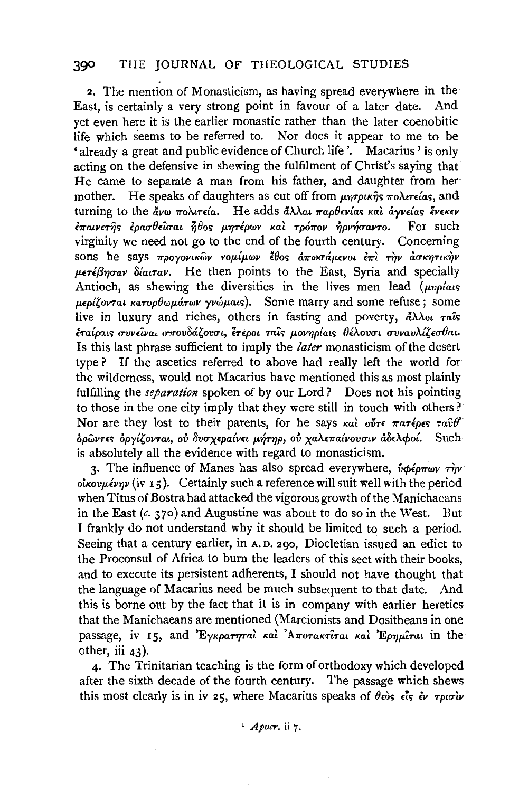2. The mention of Monasticism, as having spread everywhere in the· East, is certainly a very strong point in favour of a later date. And yet even here it is the earlier monastic rather than the later coenobitic life which seems to be referred to. Nor does it appear to me to be 'already a great and public evidence of Church life'. Macarius' is only acting on the defensive in shewing the fulfilment of Christ's saying that He came to separate a man from his father, and daughter from her mother. He speaks of daughters as cut off from  $\mu\eta\tau\rho\mu\kappa\hat{\eta}$ s  $\pi o\lambda\iota\tau\epsilon\iota\alpha s$ , and turning to the ἄνω πολιτεία. He adds ἄλλαι παρθενίαs καὶ ἁγνείαs ἕνεκεν<br>ἐπαινετῆς ἐρασθεῖσαι ἦθος μητέρων καὶ τρόπον ἠρνήσαντο. For such  $\epsilon \pi a v \epsilon \hat{r}$ îs  $\epsilon$ ρασθεΐσαι  $\hat{n}$ θος μητέρων καὶ τρόπον ήρνήσαντο. virginity we need not go to the end of the fourth century. Concerning sons he says προγονικών νομίμων έθος απωσάμενοι επι την ασκητικήν  $\mu \epsilon \tau \epsilon \beta \eta \sigma \alpha \nu$   $\delta \alpha \tau \alpha \nu$ . He then points to the East, Syria and specially Antioch, as shewing the diversities in the lives men lead  $(\mu\nu\rho/\alpha\kappa)$ μερίζονται κατορθωμάτων γνώμαις). Some marry and some refuse; some live in luxury and riches, others in fasting and poverty,  $\frac{d}{dx}\lambda_{0}$  rais  $i\pi a\omega$ ats συνείναι σπουδάζουσι, έτεροι ταίς μονηρίαις θέλουσι συναυλίζεσθαι. Is this last phrase sufficient to imply the *later* monasticism of the desert type ? If the ascetics referred to above had really left the world for the wilderness, would not Macarius have mentioned this as most plainly fulfilling the *separation* spoken of by our Lord? Does not his pointing to those in the one city imply that they were still in touch with others? Nor are they lost to their parents, for he says  $\kappa a\hat{i}$  out  $\epsilon \pi a\hat{\tau}$  raves  $\tau a\hat{\nu}\theta$ ' δρώντες δργίζονται, ού δυσχεραίνει μήτηρ, ού χαλεπαίνουσιν άδελφοί. Such is absolutely all the evidence with regard to monasticism.

3. The influence of Manes has also spread everywhere,  $\dot{v} \phi \epsilon \rho \pi \omega \nu \tau \dot{\gamma} \nu$ .  $o$ *i* $kov \mu$ *iv*  $\tau$ <sub>5</sub>). Certainly such a reference will suit well with the period when Titus of Bostra had attacked the vigorous growth of the Manichaeans in the East  $(c, 370)$  and Augustine was about to do so in the West. But I frankly do not understand why it should be limited to such a period. Seeing that a century earlier, in A.D. 290, Diocletian issued an edict to the Proconsul of Africa to burn the leaders of this sect with their books, and to execute its persistent adherents, I should not have thought that the language of Macarius need be much subsequent to that date. And this is borne out by the fact that it is in company with earlier heretics that the Manichaeans are mentioned (Marcionists and Dositheans in one passage, iv 15, and 'Eykparmral kal 'Arrorakrirat kal 'Epnµirat in the other, iii 43).

4· The Trinitarian teaching is the form of orthodoxy which developed after the sixth decade of the fourth century. The passage which shews this most clearly is in iv 25, where Macarius speaks of  $\theta_{\rm e}\dot{\theta}_{\rm s}$   $\dot{\epsilon}$   $\dot{\epsilon}$   $\nu$   $\tau \rho \omega \dot{\sigma} \dot{\nu}$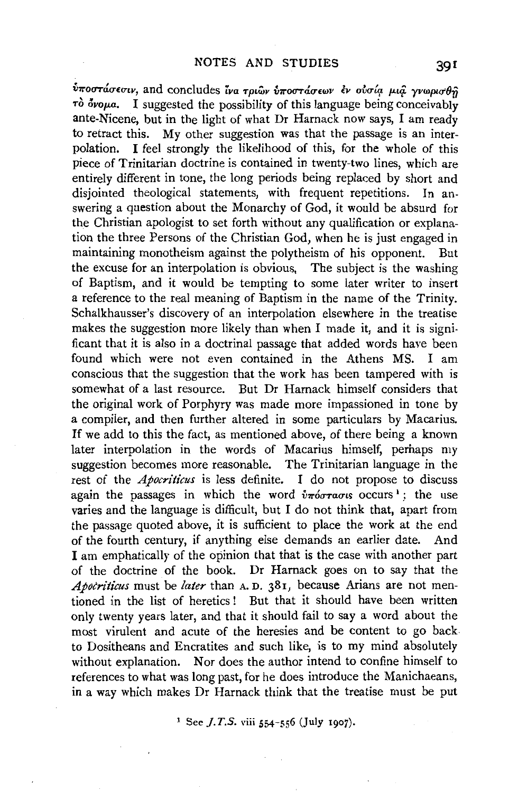$v$ ποστάσεσιν, and concludes ίνα τριων *υποστάσεων εν ουσία μια γνωρισθή*  $\tau$ ò όνομα. I suggested the possibility of this language being conceivably ante-Nicene, but in the light of what Dr Harnack now says, I am ready to retract this. My other suggestion was that the passage is an interpolation. I feel strongly the likelihood of this, for the whole of this piece of Trinitarian doctrine is contained in twenty-two lines, which are entirely different in tone, the long periods being replaced by short and disjointed theological statements, with frequent repetitions. In answering a question about the Monarchy of God, it would be absurd for the Christian apologist to set forth without any qualification or explanation the three Persons of the Christian God, when he is just engaged in maintaining monotheism against the polytheism of his opponent. But the excuse for an interpolation is obvious, The subject is the washing of Baptism, and it would be tempting to some later writer to insert a reference to the real meaning of Baptism in the name of the Trinity. Schalkhausser's discovery of an interpolation elsewhere in the treatise makes the suggestion more likely than when I made it, and it is significant that it is also in a doctrinal passage that added words have been found which were not even contained in the Athens MS. I am conscious that the suggestion that the work has been tampered with is somewhat of a last resource. But Dr Harnack himself considers that the original work of Porphyry was made more impassioned in tone by a compiler, and then further altered in some particulars by Macarius. If we add to this the fact, as mentioned above, of there being a known later interpolation in the words of Macarius himself, perhaps my suggestion becomes more reasonable. The Trinitarian language in the rest of the *Apocriticus* is less definite. I do not propose to discuss again the passages in which the word  $\hat{v}\pi\hat{\omega}\tau\hat{\omega}\sigma\tau\hat{\omega}$  cocurs<sup>1</sup>; the use varies and the language is difficult, but I do not think that, apart from the passage quoted above, it is sufficient to place the work at the end of the fourth century, if anything else demands an earlier date. And I am emphatically of the opinion that that is the case with another part of the doctrine of the book. Dr Harnack goes on to say that the *Apotriticus* must be *later* than A. D. 381, because Arians are not mentioned in the list of heretics ! But that it should have been written only twenty years later, and that it should fail to say a word about the most virulent and acute of the heresies and be content to go back to Dositheans and Encratites and such like, is to my mind absolutely without explanation. Nor does the author intend to confine himself to references to what was long past, for he does introduce the Manichaeans, in a way which makes Dr Harnack think that the treatise must be put

<sup>1</sup> See *J.T.S.* viii 554-556 (July 1907).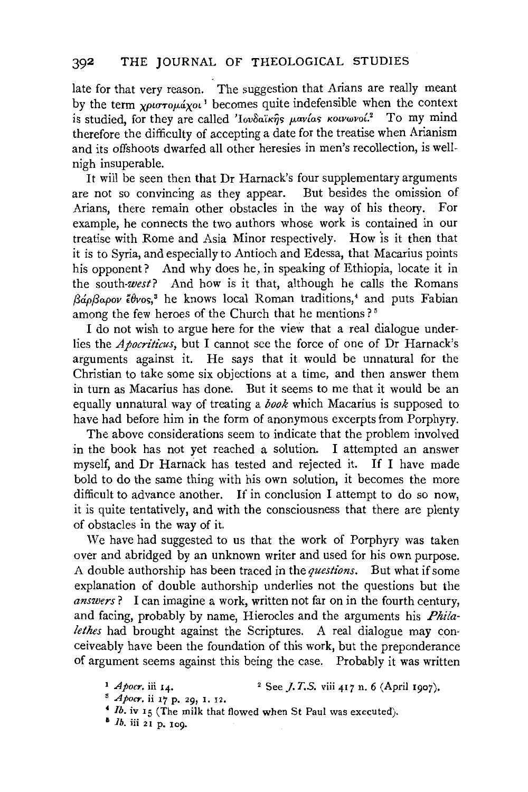late for that very reason. The suggestion that Arians are really meant by the term *xpurropuaxol*<sup>1</sup> becomes quite indefensible when the context is studied, for they are called '*lovoaixns pavias kolvwvoi*.<sup>2</sup> To my mind therefore the difficulty of accepting a date for the treatise when Arianism and its offshoots dwarfed all other heresies in men's recollection, is wellnigh insuperable.

It will be seen then that Dr Harnack's four supplementary arguments are not so convincing as they appear. But besides the omission of Arians, there remain other obstacles in the way of his theory. For example, he connects the two authors whose work is contained in our treatise with Rome and Asia Minor respectively. How 'is it then that it is to Syria, and especially to Antioch and Edessa, that Macarius points his opponent? And why does he, in speaking of Ethiopia, locate it in the *south-west?* And how is it that, although he calls the Romans *f3apf3apov £0vos, <sup>3</sup>*he knows local Roman traditions,' and puts Fabian among the few heroes of the Church that he mentions?<sup>5</sup>

I do not wish to argue here for the view that a real dialogue underlies the *Apocriticus,* but I cannot see the force of one of Dr Harnack's arguments against it. He says that it would be unnatural for the Christian to take some six objections at a time, and then answer them in turn as Macarius has done. But it seems to me that it would be an equally unnatural way of treating a *book* which Macarius is supposed to have had before him in the form of anonymous excerpts from Porphyry.

The above considerations seem to indicate that the problem involved in the book has not yet reached a solution. I attempted an answer myself, and Dr Harnack has tested and rejected it. If I have made bold to do the same thing with his own solution, it becomes the more difficult to advance another. If in conclusion I attempt to do so now, it is quite tentatively, and with the consciousness that there are plenty of obstacles in the way of it.

We have had suggested to us that the work of Porphyry was taken over and abridged by an unknown writer and used for his own purpose. A double authorship has been traced in the *questions.* But what if some explanation of double authorship underlies not the questions but the *answers?* I can imagine a work, written not far on in the fourth century, and facing, probably by name, Hierocles and the arguments his *Phi/alethes* had brought against the Scriptures. A real dialogue may conceiveably have been the foundation of this work, but the preponderance of argument seems against this being the case. Probably it was written

<sup>&</sup>lt;sup>1</sup> *Apocr.* iii 14. <sup>2</sup> See *J.T.S.* viii 417 n. 6 (April 1907). <sup>3</sup> *Apocr.* ii 17 p. 29, 1. 12.

<sup>•</sup> *lb.* iv 15 (The milk that flowed when St Paul was executed).

<sup>&</sup>lt;sup>8</sup> *Ib.* iii 21 p. 109.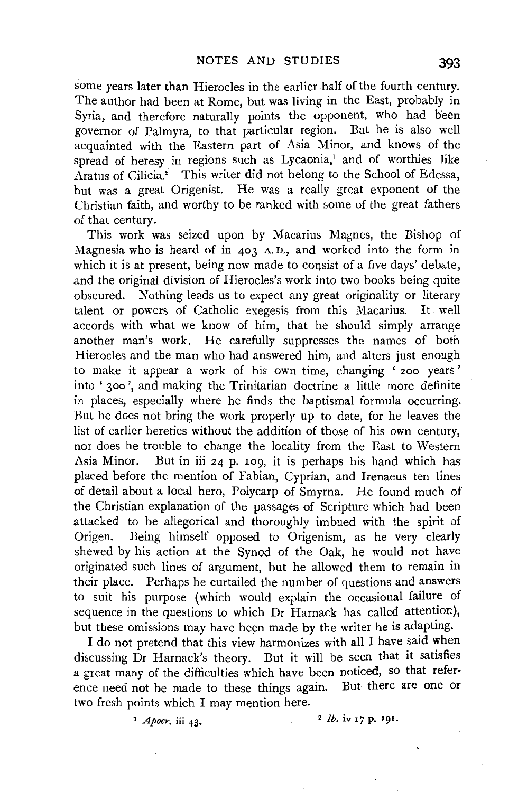some years later than Hierocles in the earlier half of the fourth century. The author had been at Rome, but was living in the East, probably in Syria, and therefore naturally points the opponent, who had b'een governor of Palmyra, to that particular region. But he is also well acquainted with the Eastern part of Asia Minor, and knows of the spread of heresy in regions such as Lycaonia,<sup>1</sup> and of worthies like Aratus of Cilicia.<sup>2</sup> This writer did not belong to the School of Edessa. but was a great Origenist. He was a really great exponent of the Christian faith, and worthy to be ranked with some of the great fathers of that century.

This work was seized upon by Macarius Magnes, the Bishop of Magnesia who is heard of in 403 A. D., and worked into the form in which it is at present, being now made to consist of a five days' debate, and the original division of Hierocles's work into two books being quite obscured. Nothing leads us to expect any great originality or literary talent or powers of Catholic exegesis from this Macarius. It well accords with what we know of him, that he should simply arrange another man's work. He carefully suppresses the names of both Hierocles and the man who had answered him, and alters just enough to make it appear a work of his own time, changing ' 200 years ' into '300 ', and making the Trinitarian doctrine a little more definite in places, especially where he finds the baptismal formula occurring. But he does not bring the work properly up to date, for he leaves the list of earlier heretics without the addition of those of his own century, nor does he trouble to change the locality from the East to Western Asia Minor. But in iii 24 p. 109, it is perhaps his hand which has placed before the mention of Fabian, Cyprian, and Irenaeus ten lines of detail about a local hero, Polycarp of Smyrna. He found much of the Christian explanation of the passages of Scripture which had been attacked to be allegorical and thoroughly imbued with the spirit of Origen. Being himself opposed to Origenism, as he very clearly shewed by his action at the Synod of the Oak, he would not have originated such lines of argument, but he allowed them to remain in their place. Perhaps he curtailed the number of questions and answers to suit his purpose (which would explain the occasional failure of sequence in the questions to which Dr Harnack has called attention), but these omissions may have been made by the writer he is adapting.

I do not pretend that this view harmonizes with all I have said when discussing Dr Harnack's theory. But it will be seen that it satisfies a great many of the difficulties which have been noticed, so that reference need not be made to these things again. But there are one or two fresh points which I may mention here.

<sup>1</sup> *Apocr.* iii 43. <sup>2</sup> *Ib.* iv 17 **p.** 191.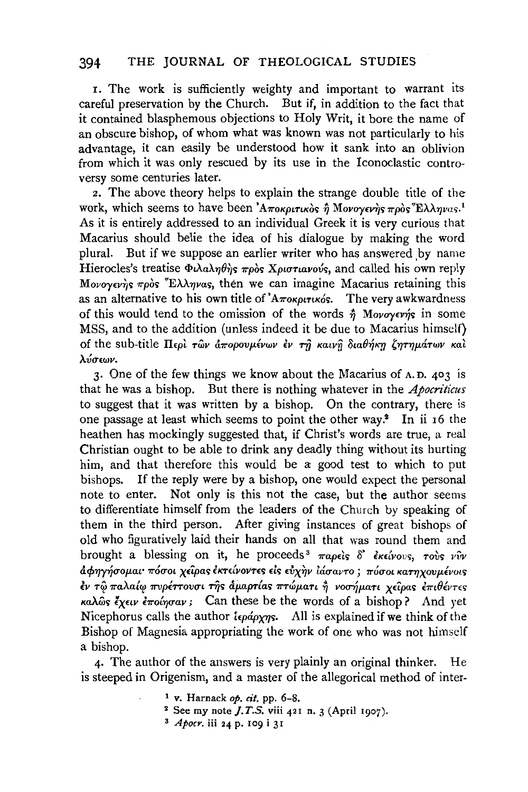1. The work is sufficiently weighty and important to warrant its careful preservation by the Church. But if, in addition to the fact that it contained blasphemous objections to Holy Writ, it bore the name of an obscure bishop, of whom what was known was not particularly to his advantage, it can easily be understood how it sank into an oblivion from which it was only rescued by its use in the Iconoclastic controversy some centuries later.

2, The above theory helps to explain the strange double title of the work, which seems to have been 'Αποκριτικός ή Μονογενής πρός Έλληνας.<sup>1</sup> As it is entirely addressed to an individual Greek it is very curious that Macarius should belie the idea of his dialogue by making the word plural. But if we suppose an earlier writer who has answered by name Hierocles's treatise  $\Phi \lambda \alpha \lambda \eta \theta \eta s$   $\pi \rho \delta s$  *Xptortavovs*, and called his own reply Movoyev's  $\pi \rho \delta s$  <sup>"</sup>E $\lambda \lambda \eta \nu \alpha s$ , then we can imagine Macarius retaining this as an alternative to his own title of  $A_{\pi\alpha\kappa\rho\kappa\tau\kappa\sigma\delta}$ . The very awkwardness of this would tend to the omission of the words  $\hat{\eta}$  Movoyevns in some MSS, and to the addition (unless indeed it be due to Macarius himself} of the sub-title Περί τῶν ἀπορουμένων εν τη καινη διαθήκη ζητημάτων και *AV!T£WV.* 

3· One of the few things we know about the Macarius of A.D. 403 is that he was a bishop. But there is nothing whatever in the *Apocriticus*  to suggest that it was written by a bishop. On the contrary, there is one passage at least which seems to point the other way.1 In ii 16 the heathen has mockingly suggested that, if Christ's words are true, a real Christian ought to be able to drink any deadly thing without its hurting him, and that therefore this would be a good test to which to put bishops. If the reply were by a bishop, one would expect the personal note to enter. Not only is this not the case, but the author seems to differentiate himself from the leaders of the Church by speaking of them in the third person. After giving instances of great bishops of old who figuratively laid their hands on all that was round them and brought a blessing on it, he proceeds<sup>3</sup>  $\pi a \rho \epsilon \delta$ ;  $\delta'$   $\epsilon \kappa \epsilon \omega \nu \nu s$ ,  $\tau \omega s$ ;  $\nu \nu \nu$  $d$  *άσηνήσομαι πόσοι χείρας έκτείνοντες είς εύχην ιάσαντο*; *πόσοι κατηχουμένοις*  $\epsilon$ ν τω παλαίω πυρέττουσι της αμαρτίας πτώματι η νοσήματι χείρας επιθέντες *KaAwt;; lxnv l1ro{1)1Tav;* Can these be the words of a bishop ? And yet Nicephorus calls the author *i<sub>epapyn</sub>*. All is explained if we think of the Bishop of Magnesia appropriating the work of one who was not himself a bishop.

4· The author of the answers is very plainly an original thinker. He is steeped in Origenism, and a master of the allegorical method of inter-

- 
- 1 v. Harnack *op. cit.* pp. 6-8. 2 See my note *j.T.S.* viii 421 n. 3 (April 1907). 3 *Apocr.* iii 24 p. 109 i 31
-